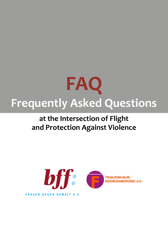

# **at the Intersection of Flight and Protection Against Violence**

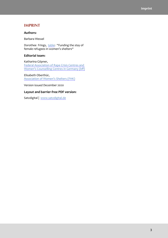# <span id="page-2-0"></span>**IMPRINT**

#### **Authors:**

Barbara Wessel

Dorothee Frings, [table:](#page-43-0) "Funding the stay of female refugees in women's shelters"

#### **Editorial team:**

Katharina Göpner, [Federal Association of Rape Crisis Centres and](http://www.frauen-gegen-gewalt.de/)  [Women's Counselling Centres in Germany \(bf\)](http://www.frauen-gegen-gewalt.de/)

Elisabeth Oberthür, [Association of Women's Shelters \(FHK\)](http://www.frauenhauskoordinierung.de)

Version issued December 2020

#### **Layout and barrier-free PDF version:**

Satzdigital | [www.satzdigital.de](http://www.satzdigital.de)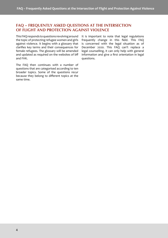# <span id="page-3-0"></span>**FAQ – FREQUENTLY ASKED QUESTIONS AT THE INTERSECTION OF FLIGHT AND PROTECTION AGAINST VIOLENCE**

This FAQ responds to questions revolving around the topic of protecting refugee women and girls against violence. It begins with a glossary that clarifes key terms and their consequences for female refugees. The glossary will be amended and updated as required on the websites of bf and FHK.

The FAQ then continues with a number of questions that are categorised according to ten broader topics. Some of the questions recur because they belong to diferent topics at the same time.

It is important to note that legal regulations frequently change in this feld. This FAQ is concerned with the legal situation as of December 2020. This FAQ can't replace a legal counselling, it can only help with general information and give a frst orientation in legal questions.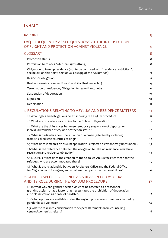# **INHALT**

| <b>IMPRINT</b>                                                                                                                                                                                             | $\overline{\mathbf{3}}$ |
|------------------------------------------------------------------------------------------------------------------------------------------------------------------------------------------------------------|-------------------------|
| FAQ - FREQUENTLY ASKED QUESTIONS AT THE INTERSECTION<br>OF FLIGHT AND PROTECTION AGAINST VIOLENCE                                                                                                          | 4                       |
| <b>GLOSSARY</b>                                                                                                                                                                                            | 8                       |
| Protection status                                                                                                                                                                                          | 8                       |
| Permission to reside (Aufenthaltsgestattung)                                                                                                                                                               | 8                       |
| Obligation to take up residence (not to be confused with "residence restriction",<br>see below on this point, section 47 et seqq. of the Asylum Act)                                                       | 9                       |
| Residence obligation                                                                                                                                                                                       | 9                       |
| Residence restriction (sections 12 and 12a, Residence Act)                                                                                                                                                 | 9                       |
| Termination of residence / Obligation to leave the country                                                                                                                                                 | 10                      |
| Suspension of deportation                                                                                                                                                                                  | 10                      |
| Expulsion                                                                                                                                                                                                  | 10                      |
| Deportation                                                                                                                                                                                                | 11                      |
| 1. REGULATIONS RELATING TO ASYLUM AND RESIDENCE MATTERS                                                                                                                                                    | 11                      |
| 1.1 What rights and obligations do exist during the asylum procedure?                                                                                                                                      | 11                      |
| 1.2 What are procedures according to the Dublin III Regulation?                                                                                                                                            | 12                      |
| 1.3 What are the differences between temporary suspension of deportation,<br>individual residence titles, and protection status?                                                                           | 12                      |
| 1.4 What is particular about the situation of women (affected by violence)<br>from so-called safe countries of origin?                                                                                     | 12                      |
| 1.5 What does it mean if an asylum application is rejected as "manifestly unfounded"?                                                                                                                      | 13                      |
| 1.6 What is the difference between the obligation to take up residence, residence<br>restriction and residence obligation?                                                                                 | 13                      |
| 1.7 Excursus: What does the creation of the so-called AnkER facilities mean for the<br>refugees who are accommodated there?                                                                                | 15                      |
| 1.8 What is the relationship between Foreigners Office and the Federal Office<br>for Migration and Refugees, and what are their particular responsibilities?                                               | 16                      |
| 2. GENDER-SPECIFIC VIOLENCE AS A REASON FOR ASYLUM<br>AND ITS ROLE DURING THE ASYLUM PROCEDURE                                                                                                             | 17                      |
| 2.1 In what way can gender-specific violence be asserted as a reason for<br>granting asylum or as a factor that necessitates the prohibition of deportation<br>/ the classification as a case of hardship? | 17                      |
| 2.2 What options are available during the asylum procedure to persons affected by<br>gender-based violence?                                                                                                | 18                      |
| 2.3 What to take into consideration for expert statements from counselling<br>centres/women's shelters?                                                                                                    | 18                      |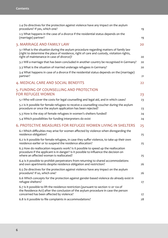| 2.4 Do directives for the protection against violence have any impact on the asylum<br>procedure? If yes, which one?                                                                                                            | 19 |
|---------------------------------------------------------------------------------------------------------------------------------------------------------------------------------------------------------------------------------|----|
| 2.5 What happens in the case of a divorce if the residential status depends on the<br>(marriage) partner?                                                                                                                       | 19 |
| 3. MARRIAGE AND FAMILY LAW                                                                                                                                                                                                      | 20 |
| 3.1 What is the situation during the asylum procedure regarding matters of family law<br>(right to determine the place of residence, right of care and custody, visitation rights,<br>right of maintenance in case of divorce)? | 20 |
| 3.2 Will a marriage that has been concluded in another country be recognised in Germany?                                                                                                                                        | 20 |
| 3.3 What is the situation of married underage refugees in Germany?                                                                                                                                                              | 20 |
| 3.4 What happens in case of a divorce if the residential status depends on the (marriage)<br>partner?                                                                                                                           | 21 |
| 4. MEDICAL CARE AND SOCIAL BENEFITS                                                                                                                                                                                             | 22 |
| 5. FUNDING OF COUNSELLING AND PROTECTION<br><b>FOR REFUGEE WOMEN</b>                                                                                                                                                            | 23 |
| 5.1 Who will cover the costs for legal counselling and legal aid, and in which cases?                                                                                                                                           | 23 |
| 5.2 Is it possible for female refugees to receive a counselling voucher during the asylum<br>procedure or once the asylum application has been rejected?                                                                        | 23 |
| 5.3 How is the stay of female refugees in women's shelters funded?                                                                                                                                                              | 24 |
| 5.4 Which possibilities for funding interpreters do exist                                                                                                                                                                       | 24 |
| 6. PROTECTIVE MEASURES FOR REFUGEE WOMEN LIVING IN SHELTERS                                                                                                                                                                     | 25 |
| 6.1 Which difficulties may arise for women affected by violence when disregarding the<br>residence obligation?                                                                                                                  | 25 |
| 6.2 Is it possible for female refugees, in case they suffer violence, to take up their own<br>residence earlier or to suspend the residence allocation?                                                                         | 25 |
| 6.3 How do reallocation requests work? Is it possible to speed up the reallocation<br>procedure if the applicant is in danger? Is it possible to influence the decision on<br>where an affected woman is reallocated?           | 25 |
| 6.4 Is it possible to prohibit perpetrators from returning to shared accommodations<br>and own apartments despite residence obligation and restriction?                                                                         | 26 |
| 6.5 Do directives for the protection against violence have any impact on the asylum<br>procedure? If so, which one?                                                                                                             | 26 |
| 6.6 Which concepts for the protection against gender-based violence do already exist in<br>refugee shelters?                                                                                                                    | 27 |
| 6.7 Is it possible to lift the residence restriction (pursuant to section 12 or 12a of<br>the Residence Act) after the conclusion of the asylum procedure in case the person<br>concerned has been affected by violence?        | 27 |
| 6.8 Is it possible to file complaints in accommodations?                                                                                                                                                                        | 28 |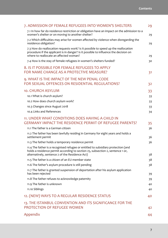| 7. ADMISSION OF FEMALE REFUGEES INTO WOMEN'S SHELTERS                                                                                                                                                                  | 29 |
|------------------------------------------------------------------------------------------------------------------------------------------------------------------------------------------------------------------------|----|
| 7.1 In how far do residence restriction or obligation have an impact on the admission to a<br>women's shelter or on moving to another shelter?                                                                         | 29 |
| 7.2 Which difficulties may arise for women affected by violence when disregarding the<br>residence obligation?                                                                                                         | 29 |
| 7.3 How do reallocation requests work? Is it possible to speed up the reallocation<br>procedure if the applicant is in danger? Is it possible to influence the decision on<br>where to reallocate an affected woman?   | 29 |
| 7.4 How is the stay of female refugees in women's shelters funded?                                                                                                                                                     | 30 |
| 8. IS IT POSSIBLE FOR FEMALE REFUGEES TO APPLY<br>FOR NAME CHANGE AS A PROTECTIVE MEASURE?                                                                                                                             | 31 |
| 9. WHAT IS THE IMPACT OF THE NEW PENAL CODE<br>FOR SEXUAL OFFENCES ON RESIDENTIAL REGULATIONS?                                                                                                                         | 32 |
| <b>10. CHURCH ASYLUM</b>                                                                                                                                                                                               | 33 |
| 10.1 What is church asylum?                                                                                                                                                                                            | 33 |
| 10.2 How does church asylum work?                                                                                                                                                                                      | 33 |
| 10.3 Changes since August 2018                                                                                                                                                                                         | 33 |
| 10.4 Links and References                                                                                                                                                                                              | 34 |
| 11. UNDER WHAT CONDITIONS DOES HAVING A CHILD IN                                                                                                                                                                       |    |
| <b>GERMANY IMPACT THE RESIDENCE PERMIT OF REFUGEE PARENTS?</b>                                                                                                                                                         | 35 |
| 11.1 The father is a German citizen                                                                                                                                                                                    | 36 |
| 11.2 The father has been lawfully residing in Germany for eight years and holds a<br>settlement permit                                                                                                                 | 36 |
| 11.3 The father holds a temporary residence permit                                                                                                                                                                     | 36 |
| 11.4 The father is a recognised refugee or entitled to subsidiary protection (and<br>holds a residence permit according to section 25, subsection 2, sentence 1 or,<br>alternatively, sentence 2 of the Residence Act) | 38 |
| 11.5 The father is a citizen of an EU member state                                                                                                                                                                     | 38 |
| 11.6 The father's asylum procedure is still pending                                                                                                                                                                    | 38 |
| 11.7 The father is granted suspension of deportation after his asylum application                                                                                                                                      |    |
| has been rejected                                                                                                                                                                                                      | 39 |
| 11.8 The father refuses to acknowledge paternity                                                                                                                                                                       | 39 |
| 11.9 The father is unknown                                                                                                                                                                                             | 40 |
| 11.10 Siblings                                                                                                                                                                                                         | 40 |
| 12. (NEW) WAYS TO A REGULAR RESIDENCE STATUS                                                                                                                                                                           | 40 |
| 13. THE ISTANBUL CONVENTION AND ITS SIGNIFICANCE FOR THE                                                                                                                                                               |    |
| PROTECTION OF REFUGEE WOMEN                                                                                                                                                                                            | 42 |
| Appendix                                                                                                                                                                                                               | 44 |
|                                                                                                                                                                                                                        |    |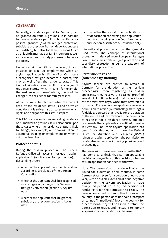# <span id="page-7-1"></span><span id="page-7-0"></span>**GLOSSARY**

Generally, a residence permit for Germany can be granted on various grounds. It is possible to issue a residence permit on humanitarian or political grounds (asylum, refugee protection, subsidiary protection, ban on deportation, case of hardship), but also for family reasons (such as childbirth, marriage or family reunion) as well as for educational or study purposes or for work purposes.

Under certain conditions, however, it also possible to take up employment while an asylum application is still pending. Or in case a recognised refugee becomes a parent, this may as well afect the residence status. This kind of situation can result in a change of residence status, which means, for example, that residence on humanitarian grounds will be changed into residence for family reasons.

At frst it must be clarifed what the current basis of the residence status is and to which conditions it is subject, so as to examine which rights and obligations this status implies.

This FAQ focuses on issues regarding residence on humanitarian grounds. It will also touch upon those cases where the residence status is likely to change, for example, after having taken up vocational training or employment or when a child has been born.

#### **Protection status**

During the asylum procedure, the Federal Refugee Office will ascertain for each "asylum application" (application for protection), in descending order:

- whether the applicant is entitled to asylum according to article 16a of the German Constitution
- whether the applicant shall be recognised as a refugee according to the Geneva Refugee Convention (section 3, Asylum Act)
- whether the applicant shall be granted subsidiary protection (section 4, Asylum Act)

• or whether there exist other prohibitions of deportation concerning the applicant's country of origin (section 60, subsection 5, and section 7, sentence 1, Residence Act).

International protection is now the generally used term. The concept of international protection is derived from European Refugee Law. It subsumes both refugee protection and subsidiary protection under the category of international protection.

#### **Permission to reside (Aufenthaltsgestattung)**

Asylum seekers are entitled to remain in Germany for the duration of their asylum proceedings. Upon registering as asylum applicants, they receive a so-called proof of arrival (Ankunftsnachweis) that is valid only for the frst few days. Once they have fled a formal application, asylum applicants receive a permission to reside (Aufenthaltsgestattung), a foldable green card that is valid for the duration of the entire asylum procedure. The permission to reside is not a residence permit, but only documents that applicants are entitled to reside in Germany until their asylum application has been fnally decided on. In case the Federal Office for Migration and Refugees (BAMF) rejects an asylum application, the permission to reside also remains valid during possible court proceedings.

The permission to reside expires when the BAMF has come to a fnal, that is, non-appealable decision or, regardless of this decision, when an asylum application has been withdrawn.

Note: The permission to reside will often be issued for a duration of six months, in some German states even for a duration of up to one year, with a possible extension. If a fnal negative decision on the asylum application is made during this period, however, this decision will render "invalid" the permission to reside. The person concerned is then obliged to leave the country. If the person does not hold a passport or cannot (immediately) leave the country for other reasons, they will be asked to return the permission to reside, and instead a temporary suspension of deportation will be issued.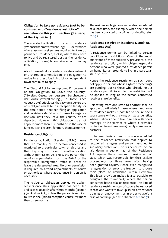#### <span id="page-8-0"></span>**Obligation to take up residence (not to be confused with "residence restriction", see below on this point, section 47 et seqq. of the Asylum Act)**

The so-called obligation to take up residence (Wohnsitznahmeverpfichtung) determines where asylum seekers are required to take up permanent residence, that is, where they have to live and be registered. Just as the residence obligation, this regulation takes efect from day one.

Also, in case of relocation to a private apartment or a shared accommodation, the obligation to reside in a prescribed district or independent town continues to apply.

The "Second Act for an Improved Enforcement of the Obligation to Leave the Country" ("Zweites Gesetz zur besseren Durchsetzung der Ausreiseverpfichtung", in force since August 2019) stipulates that asylum seekers are now obliged reside to in a reception facility for the time period between fling an application and receiving a decision or, in case of a negative decision, until they leave the country or are deported. However, this obligation may not apply for more than 18 months or, in the case of families with children, for more than six months.

#### **Residence obligation**

Residence obligation (Residenzpficht) means that the mobility of the person concerned is restricted to a particular town or district and that they may not travel to another location without permission. As a rule, the person then requires a permission from the BAMF or the responsible immigration office in order to leave the designated area. No prior permission is required to attend appointments at courts or authorities where appearance in person is necessary.

The residence obligation applies to asylum seekers once their application has been fled and ceases to apply after three months (section 59a, Asylum Act), unless the person is required to live in the (initial) reception centre for more than three months.

The residence obligation can be also be ordered at a later time, for example, when the person has been convicted of a crime (for details, refer to [1.3](#page-11-1)).

#### **Residence restriction (sections 12 and 12a, Residence Act)**

A residence permit can be linked to certain conditions or restrictions. One of the most important of these subsidiary provisions is the residence restriction, which obliges especially persons who were granted a residence permit on humanitarian grounds to live in a particular state or town.

Hence the residence restriction as such does not apply to persons whose asylum proceedings are pending, but to those who already hold a residence permit. As a rule, the restriction will be applied as long as the person concerned receives state benefts.

Relocating from one state to another shall be approved particularly in cases where the change of residence makes it possible to secure one's subsistence without relying on state benefts, where it allows one to live together with one's marriage or life partner or where it provides protection from threatening family members or partners.

In Summer 2016, a new provision was added to the residence restriction that applies to recognised refugees and persons entitled to subsidiary protection. The residence restriction laid down in section 12a of the Residence Act requires these persons to reside in that state which was responsible for their asylum proceedings for three years after having been granted asylum. Hence even recognised refugees do not enjoy the freedom to choose their place of residence within Germany. This legal provision makes it also possible to designate the municipality where the person concerned has to take up residence. This kind of residence restriction can of course be removed in case one wants to take up studies, vocational training or employment or in order to avoid a case of hardship (see also chapters [6.2](#page-24-1) and [7](#page-28-1)).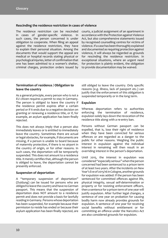#### <span id="page-9-0"></span>**Rescinding the residence restriction in cases of violence**

The residence restriction can be rescinded in cases of gender-specifc violence. In such cases, the person concerned is under obligation to cooperate. When fling an appeal against the residence restriction, they have to explain their personal situation. Among the documents that would support the appeal are medical or hospital records stating physical or psychological injuries, letter of confrmation that one has been admitted to a women's shelter, criminal charges, protection orders issued by courts, a judicial assignment of an apartment in accordance with the Protection against Violence Act, but also comprehensive statements issued by recognised counselling centres for victims of violence. If a case has been thoroughly explained and documented as requiring protection against violence, it will always be regarded as grounds for rescinding the residence restriction. In exceptional situations, where an urgent need for protection is plainly evident, the obligation to provide documentation may be waived.

#### **Termination of residence / Obligation to leave the country**

As a general principle, every person who is not a EU citizen requires a permit to stay in Germany. The person is obliged to leave the country if the residence permit expires after a certain period or if it ends due to a negative decision on granting or renewing a residence title, or if, for example, an asylum application has been fnally rejected.

This does not always imply that a person also immediately leaves or is entitled to immediately leave the country. Sometimes there are actual or legal obstacles, for example, if documents are missing, if a person is unable to board because of maternity protection, if there is no airport in the country of origin, or for other reasons. In such cases, the deportation will be temporarily suspended. This does not amount to a residence title. It merely certifes that, although the person is obliged to leave, the deportation cannot be presently enforced.

#### **Suspension of deportation**

A "temporary suspension of deportation" (Duldung) can be issued for persons who are obliged to leave the country and have no German passport. This means that the suspension of deportation does NOT amount to a residence permit and does not provide a basis for lawfully residing in Germany. Persons whose deportation has been suspended, for example because their permission to reside has ended or because their asylum application has been fnally rejected, are

still obliged to leave the country. Only specifc reasons (e.g. illness, lack of passport etc.) can justify that the enforcement of this obligation is suspended temporarily or in the long term.

#### **Expulsion**

Whereas deportation refers to authorities enforcing the termination of residence, expulsion solely lays down the revocation of the residence title along with a re-entry ban.

Persons without German passport can be expelled, that is, lose their right of residence when they have been convicted for serious ofences or are regarded as a danger to the public for other reasons. Weighing the public interest in expulsion against the individual interest in remaining will then result in an overriding interest in the person's deportation.

Until 2015, the interest in expulsion was considered "especially serious" when the person concerned had been sentenced to a prison term of at least two years. After the incidents on New Year's Eve of 2015/16 in Cologne, another grounds for expulsion was added: If the person has been sentenced for committed offences against life, physical integrity, sexual self-determination or property or for resisting enforcement officers, then a sentence for a prison term of one year will justify expulsion. After further legal changes, a sentence of one year on probation for causing bodily harm now already provides grounds for expulsion. A sentence of one year for receiving social benefts without entitlement or for committing an offence under the Narcotics Act are also considered grounds for expulsion.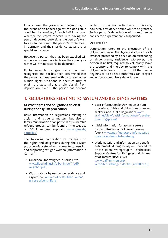<span id="page-10-0"></span>In any case, the government agency or, in the event of an appeal against the decision, a court has to consider, in each individual case, whether the state's concern with having the person deported outweighs the person's wish to stay. In this regard, the person's 'rootedness' in Germany and their residence status are of special importance.

However, a person that has been expelled will not in every case have to leave the country or rather will not necessarily be deported.

If, for example, refugee status has been recognised and if it has been determined that the person is threatened with torture or other human rights violations in their country of origin, the state will, as a rule, abstain from deportation, even if the person has become

liable to prosecution in Germany. In this case, however, a residence permit will not be granted. Such a person's deportation will more often be considered as permanently suspended.

#### **Deportation**

Deportation refers to the execution of the obligation to leave. That is, deportation is in each instance preceded by a decision on terminating or discontinuing residence. Moreover, the person is at frst required to voluntarily leave the country and thereby to comply with the obligation to leave. It is not until the person neglects to do so that authorities can prepare and enforce compulsory deportation.

# **1. REGULATIONS RELATING TO ASYLUM AND RESIDENCE MATTERS**

#### <span id="page-10-1"></span>**1.1 What rights and obligations do exist during the asylum procedure?**

Basic information on regulations relating to asylum and residence matters, but also on family reunifcation or on particularly vulnerable refugee groups, can be found on the website of GGUA refugee support: [www.ggua.de/](http://www.ggua.de/aktuelles/) [aktuelles/](http://www.ggua.de/aktuelles/)

The following compilation of materials on the rights and obligations during the asylum procedure is useful when it comes to counselling and supporting refugee women (information in German):

- Guidebook for refugees in Berlin 2017: [www.fuechtlingsinfo-berlin.de/fr/pdf/](http://www.fluechtlingsinfo-berlin.de/fr/pdf/ratgeber.pdf) [ratgeber.pdf](http://www.fluechtlingsinfo-berlin.de/fr/pdf/ratgeber.pdf)
- Work material by Asylnet on residence and asylum law: [www.asyl.net/publikationen/](http://www.asyl.net/publikationen/unsere-arbeitshilfen/) [unsere-arbeitshilfen/](http://www.asyl.net/publikationen/unsere-arbeitshilfen/)
- Basic information by Asylnet on asylum procedure, rights and obligations of asylum seekers. and Dublin Regulation: [www.](http://www.asyl.net/view/basisinformationen-fuer-die-beratungspraxis/) [asyl.net/view/basisinformationen-fuer-die](http://www.asyl.net/view/basisinformationen-fuer-die-beratungspraxis/)[beratungspraxis/](http://www.asyl.net/view/basisinformationen-fuer-die-beratungspraxis/)
- Initial information for asylum seekers by the Refugee Council Lower Saxony (2015): [www.nds-fuerat.org/infomaterial/](http://www.nds-fluerat.org/infomaterial/materialien-fuer-die-beratung/) [materialien-fuer-die-beratung/](http://www.nds-fluerat.org/infomaterial/materialien-fuer-die-beratung/)
- Work material and information on beneft entitlements during the asylum procedure by the Federal Workgroup of Psychosocial Support Centres for Refugees and Victims of of Torture (BAfF e.V.): www.baff-zentren.org/ veroefentlichungen-der-baf/rechtliches/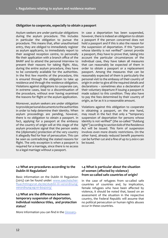#### <span id="page-11-0"></span>**Obligation to cooperate, especially to obtain a passport**

Asylum seekers are under particular obligations during the asylum procedure. This includes in particular the obligation to pursue the procedure. This means that, after unauthorised entry, they are obliged to immediately register as asylum applicants, to immediately report to their assigned reception centre, to personally file their application with a branch office of the BAMF and to attend the personal interview to present their reasons for taking fight. Also, during the entire asylum procedure, they have to be constantly available for the authorities. In the frst few months of the procedure, this is ensured through the obligation to take up residence and through the residence obligation. Violations against obligations to cooperate can, in extreme cases, lead to a discontinuation of the procedure, without ever having examined the reasons for fight or the asylum application.

Moreover, asylum seekers are under obligation to provide personal documents to the authorities in order to help determine their identity. When asylum proceedings are pending, however, there is no obligation to obtain a passport. In fact, applying for a passport at the embassy of the country of origin will at this stage of the asylum procedure signal that the person seeks the (diplomatic) protection of the very country it allegedly fled for fear of persecution. This can be seen as contradicting the stated reasons for fight. The only exception is when a passport is required for a marriage, since there is no access to a legal marriage without a passport.

In case a deportation has been suspended, however, there is indeed an obligation to obtain a passport if the person concerned does not hold a passport and if this is also the reason for the suspension of deportation. If this "person whose identity is not verifed" cannot provide a passport, they have to prove that, taking into account the particular circumstances of the individual case, they have taken all measures that can reasonably be expected of them in order to obtain a passport or a replacement passport. Among the measures that can be reasonably expected of them is particularly the personal visit to the embassy of their country of origin in order to give all the required details and declarations – sometimes also a declaration of their voluntary departure if issuing a passport is made subject to this condition. They also have to pay the fees determined by their country of origin, as far as it is a reasonable amount.

Violations against this obligation to cooperate in obtaining a passport, on the one hand, may result in the fact that only a "temporary suspension of deportation for persons whose identity is not verifed" (the so-called "Duldung light") according to section 60b of the Residence Act will be issued. This form of suspension involves even more drastic restrictions. On the other hand, already reduced beneft payments can be further cut and a fine of up to 5.000  $\epsilon$  can be issued.

#### **1.2 What are procedures according to the Dublin III Regulation?**

Basic information on the Dublin III Regulation (2015) can be found under: [www.saechsischer](http://www.saechsischer-fluechtlingsrat.de/de/dublin-iii-verordnung-verordnung-eg-nr-6042013/)[fluechtlingsrat.de/de/dublin-iii-verordnung](http://www.saechsischer-fluechtlingsrat.de/de/dublin-iii-verordnung-verordnung-eg-nr-6042013/)[verordnung-eg-nr-6042013/](http://www.saechsischer-fluechtlingsrat.de/de/dublin-iii-verordnung-verordnung-eg-nr-6042013/)

#### <span id="page-11-1"></span>**1.3 What are the diferences between temporary suspension of deportation, individual residence titles, and protection status?**

More Information you can fnd in the [Glossary.](#page-7-1)

#### **1.4 What is particular about the situation of women (afected by violence) from so-called safe countries of origin?**

In the case of refugees from so-called safe countries of countries and, by implication, female refugees who have been afected by violence, it should be noted that, based on an assessment of the situation in the respective country, the Federal Republic will assume that no political persecution or human rights abuses occur in these countries.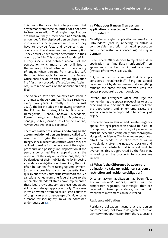<span id="page-12-0"></span>This means that, as a rule, it is be presumed that any person from these countries does not have to fear persecution. Their asylum applications are thus routinely turned down as "manifestly unfounded". The displaced person then enters into a much shorter procedure, in which they have to provide facts and evidence that – contrary to the abovementioned presumption – they actually have to fear persecution in their country of origin. This procedure includes giving a very specifc and detailed account of the persecution, which must not be not limited to the generally difficult situation in the country of origin. When persons from so-called safe third countries apply for asylum, the Federal Office shall decide on their asylum application in a "fast-track procedure" (section 30a, Asylum Act) within one week of the application being fled.

The so-called safe third countries are listed in an annex to the Asylum Act. The list is reviewed every two years. Currently (as of August 2020), the list includes the following countries: the EU member states, Albania, Bosnia and Herzegovina, Ghana, Kosovo, Macedonia, Former Yugoslav Republic Montenegro, Senegal, Serbia (German Basic Law, section 16a; Asylum Act, Annex II to section 29).

There are **further restrictions pertaining to the accommodation of persons from so-called safe countries of origin**. There exist, among other things, special reception centres where they are obliged to reside for the duration of the asylum procedure and possibly until deportation. If the persons concerned fle an appeal against the rejection of their asylum applications, they can be deprived of their mobility rights by imposing a residence obligation on them. Also, they will often be banned from taking up employment, just as it is possible to cut their benefts. How quickly and strictly authorities will resort to such sanctions varies from one federal state to the other. Not all federal states have implemented these legal provisions, so that these regulations still do not always apply practically. The cases in which women from so-called safe countries of origin can assert gender-specifc violence as a reason for seeking asylum will be addressed under question [2.1.](#page-16-1)

#### **1.5 What does it mean if an asylum application is rejected as "manifestly unfounded"?**

Classifying an asylum application as "manifestly unfounded" (that is, rejecting it) entails a considerable restriction of legal protection and further restrictions concerning the stay in Germany.

If the Federal Office decides to reject an asylum application as "manifestly unfounded", an appeal must be fled within just one week (instead of two weeks as usual).

But, in contrast to a request that is simply considered "inadmissible", fling an appeal here does not by default mean that everything remains the same for the woman until the appeal procedure has been concluded.

Instead, the Foreigners Office can urge the women during the appeal proceedings to assist procuring travel documents that would facilitate the deportation, and, in extreme cases, the woman can even be deported to her country of origin.

In order to prevent this, an additional emergency appeal for legal protection should be fled. In this appeal, the personal story of persecution must be described completely and thoroughly, along with evidence. This involves an enormous efort that needs to be taken care of within a week right after the negative decision and represents an obstacle that is very difficult to overcome. This is aggravated by the fact that, in most cases, the prospects for success are limited.

#### <span id="page-12-1"></span>**1.6 What is the diference between the obligation to take up residence, residence restriction and residence obligation?**

Once an asylum application has been fled, asylum seekers' mobility rights will be temporarily regulated. Accordingly, they are required to take up residence, just as their freedom of movement can be curtailed.

#### **Residence obligation**

Residence obligation means that the person concerned may not leave a designated town or district without permission from the responsible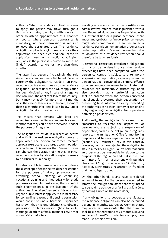authority. When the residence obligation ceases to apply, the person may travel throughout Germany and stay overnight with friends. In order to attend appointments at authorities or courts where personal appearance is mandatory, no prior permission is required to leave the designated area. The residence obligation applies to asylum seekers once their application has been fled and shall cease to apply after three months (section 59a, Asylum Act), unless the person is required to live in the (initial) reception centre for more than three months.

The latter has become increasingly the rule since the asylum laws were tightened. Because currently the obligation to reside in an initial reception centre – and thus also the residence obligation – applies until the asylum application has been decided on or, in case of a negative decision, until the applicant leaves the country, but it may not apply for more than 18 months or, in the case of families with children, for more than six months (for details see below under obligation to take up residence).

This means that persons who later are recognised as entitled to asylum possibly lose 18 months that they could have otherwise used for the purpose of integration.

The obligation to reside in a reception centre and with it the residence obligation cease to apply when the person concerned receives approval to relocate to a shared accommodation or apartment. This means that German states can shorten the duration of the stay in initial reception centres by allocating asylum seekers to a particular municipality.

It is also possible to issue a permission to leave the district specifed in the residence restriction for the purpose of taking up employment, attending school, starting or continuing vocational training and theoretically for study purposes as well. In most cases, the issuing of such a permission is at the discretion of the authorities. A legal entitlement exists only if an urgent public interest applies, if it is necessary for compelling reasons or if denying permission would constitute undue hardship. Experience has shown that it is unproblematic to obtain a permission for family reasons (hospital visits, marriage, death of a family member etc.) or for urgent visits to doctors.

Violating a residence restriction constitutes an administrative ofence that is punished with a fne. Repeated violations may be punished with a substantial fne or a prison sentence. More importantly, substantial fnes or prison sentences might later compromise the entitlement to a residence permit on humanitarian grounds (see under deportation). Criminal proceedings due to violations of a residence restriction should therefore be taken seriously.

A territorial restriction (residence obligation) can also be ordered once the asylum proceedings have been completed, when the person concerned is subject to a temporary suspension of deportation, especially when the person has been convicted of a criminal ofence or when concrete measures to terminate their residence are imminent. A stricter regulation also provides that a territorial restriction shall be ordered when the person concerned has allegedly prevented their deportation by presenting false information or by misleading the authorities as to their identity or nationality or by neglecting their obligation to cooperate in obtaining a passport etc.

Additionally, the Immigration Office may order "measures to facilitate the departure" of persons who are subject to a suspension of deportation, such as the obligation to regularly report to the Immigration Office for monitoring purposes and to seek repatriation counselling (section 46, Residence Act). In this context, however, courts have rejected the obligation to stay in a facility all night. Courts held that such an order must be reasonable in relation to the purpose of the regulation and that it must not turn into a form of harassment with punitive character. A "nightly house arrest" in this form, however, constitutes a restriction of freedom that has no legal grounds.

On the other hand, courts have considered as lawful to require the person concerned to inform the Immigration Office that they intend to spend time outside of a facility at night (e.g. by posting a note on the room door)

If any obligations to cooperate are violated, the residence obligation can also be extended beyond 18 months. Moreover, German states may in certain cases order that the duration shall be extended from 18 to 24 months. Bavaria and North Rhine-Westphalia, for example, have made use of this provision.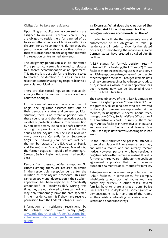#### <span id="page-14-0"></span>**Obligation to take up residence**

Upon fling an application, asylum seekers are assigned to an initial reception centre. They are obliged to reside there for a period of up to six months or, in case of families with minor children, for up to six months. If, however, the person concerned receives a positive notice on their asylum application, the obligation to reside in a reception centre immediately ends.

The obligatory period can also be shortened if the person concerned is allowed to relocate to a shared accommodation or an apartment. This means it is possible for the federal states to shorten the duration of a stay in an initial reception centre by assigning responsibility to a particular municipality.

There are also special regulations that apply, among others, to persons from so-called safe countries of origin.

In the case of so-called safe countries of origin, the legislator assumes that, due to their democratic status and general political situation, there is no threat of persecution in these countries and that the respective state is capable of protecting citizens from persecution by non-state actors. The so-called safe countries of origin appear in a list contained in the annex to the Asylum Act. The list is reviewed every two years. Currently (as on September 2017), the following countries are included: the member states of the EU, Albania, Bosnia and Herzegovina, Ghana, Kosovo, Macedonia, the former Yugoslav Republic of Montenegro, Senegal, Serbia (Asylum Act, annex II ad section 29a).

Persons from these countries, except for EU citizens among them, are required to reside in the responsible reception centre for the duration of their asylum procedure. This rule can even apply until deportation if their asylum application has been rejected as "manifestly unfounded" or "inadmissible". During this time, they are not allowed to take up work and may only temporarily leave the area specifed in their residence permit if they have received permission from the Federal Refugee Office.

Information on residence restrictions by the Refugee Council Lower Saxony (2015): [www.nds-fluerat.org/leitfaden/24-status-bei](http://www.nds-fluerat.org/leitfaden/24-status-bei-aufnahme-aus-dem-ausland/wohnen-umziehen-reisen/)[aufnahme-aus-dem-ausland/wohnen-umziehen](http://www.nds-fluerat.org/leitfaden/24-status-bei-aufnahme-aus-dem-ausland/wohnen-umziehen-reisen/)[reisen/](http://www.nds-fluerat.org/leitfaden/24-status-bei-aufnahme-aus-dem-ausland/wohnen-umziehen-reisen/)

#### **1.7 Excursus: What does the creation of the so-called AnkER facilities mean for the refugees who are accommodated there?**

In order to facilitate the implementation and enforcement of the obligation to take up residence and in order to allow for the related possibility of monitoring the inhabitants, some German states have created so-called AnkER facilities.

AnkER stands for "arrival, decision, return" ("Ankunft, Entscheidung, Rückführung"). These facilities were created in August 2018 and serve as initial reception centres, where – in contrast to other reception facilities – refugees remain until their asylum proceedings have been concluded. Also, individuals whose asylum application has been rejected now can be deported directly from the AnkER facilities.

The stated objective of the AnkER facilities is to make the asylum process "more efficient". For this purpose, all stakeholders who are involved in the asylum process are represented at the facilities, including BAMF, Federal Labour Office, Immigration Office, Social Welfare Office as well as administrative courts. Currently, there are eight AnkER facilities in Germany: six in Bavaria and one each in Saarland and Saxony. One AnkER facility in Bavaria was closed again in late 2019.

At the AnkER facilities the personal interview often takes place within one week after arrival, and after a month one can already receive notice. However, persons who have received a negative notice often remain in an AnkER facility for two to three years – although the coalition agreement stipulates that the maximum duration is 18 months or six months for families.

Refugees encounter numerous problems at the AnkER facilities. In some cases, for example, inhabitants cannot lock their rooms and have hardly any privacy. In other cases, several families have to share a single room. Police units that are also deployed at soccer games or demonstrations walk in and out of the rooms as they wish, confscating groceries, electric kettles and deodorant sprays.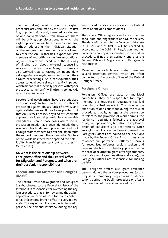<span id="page-15-0"></span>The counselling sessions on the asylum procedure are conducted by the BAMF – at frst in group discussions and, if needed, also in oneon-one conversations. Often, however, there will be only group discussions, in which the asylum procedure will be explained in general, without addressing the individual situation of the refugees. At times no one is allowed to enter the AnkER facilities, expect for staf members of authorities or welfare associations. Asylum seekers are faced with the difficulty of fnding out about external counselling services in the frst place. Many of them are also worried that contacting an independent aid organisation might negatively afect their asylum proceedings. As a consequence, their access to legal counselling is heavily impeded, which means that especially persons with "poor prospects to remain" will often very quickly receive a negative notice.

Doctors and psychiatrists have also criticised stress-inducing factors such as insufficient protection against abuses, lack of privacy and nightly disturbances. It has been pointed out that AnkER facilities lack any kind of systematic approach for identifying particularly vulnerable inhabitants. Even in those cases where special protection needs have been identifed, there was no clearly defned procedure and not enough staff members to offer the inhabitants the support they need. The organisation Doctors of the World has therefore departed the AnkER facility Manching/Ingolstadt out of protest in October 2019.

#### **1.8 What is the relationship between Foreigners Office and the Federal Office for Migration and Refugees, and what are their particular responsibilities?**

**Federal Office for Migration and Refugees (BAMF)**

The Federal Office for Migration and Refugees is subordinated to the Federal Ministry of the Interior. It is responsible for overseeing the asylum procedure, that is, for reviewing the asylum application in terms of both form and content. It has at least one branch office in every federal state. The asylum application has to be fled in person. The personal interview during the asylum procedure also takes place at the Federal Office or one of its branch offices.

The Federal Office registers and stores the personal data and fngerprints of asylum seekers. The data will be fed into the European database EURODAC, and at frst it will be checked if, according to the Dublin III Regulation, another European country is responsible for the asylum procedure. If not, then Germany and thus the Federal Office of Migration and Refugees is responsible.

Moreover, in each federal state, there are several reception centres, which are often connected to the branch offices of the Federal Refugee Office.

#### **Foreigners Offices**

Foreigners Offices are state or municipal authorities. They are responsible for implementing the residential regulations (as laid down in the Residence Act). This includes the execution of decisions made during the asylum procedure, that is, as regards the permission to relocate, the provision of work permits, the residential regulations following the approval of asylum applications, but also the implementation of expulsions and deportations. Once an asylum application has been approved, the Foreigners Offices are bound to the decisions made by the Federal Office. That is, they issue residence and permanent settlement permits for recognised refugees, asylum seekers and persons eligible for subsidiary protection. In the case of all other migrants (foreign students, graduates, employees, relatives and so on), the Foreigners Offices are responsible for making decisions.

The Foreigners Offices also grant residence permits during the asylum procedure, just as they issue temporary suspensions of deportations during the Dublin procedure or after a fnal rejection of the asylum procedure.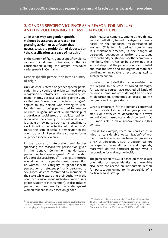# <span id="page-16-0"></span>**2. GENDER-SPECIFIC VIOLENCE AS A REASON FOR ASYLUM AND ITS ROLE DURING THE ASYLUM PROCEDURE**

#### <span id="page-16-1"></span>**2.1 In what way can gender-specifc violence be asserted as a reason for granting asylum or as a factor that necessitates the prohibition of deportation / the classifcation as a case of hardship?**

In the context of fight, gender-specifc violence can occur in diferent situations, so that its consideration during the asylum procedure varies greatly in Germany:

**Gender-specifc persecution in the country of origin**

Only violence sufered or gender-specifc persecution in the country of origin can lead to the recognition of refugee status or subsidiary protection status. Because, according to the Geneva Refugee Convention, "the term 'refugee'" applies to any person who "owing to wellfounded fear of being persecuted for reasons of race<sup>1</sup>, religion, nationality, membership of a par-ticular social group or political opinion, is out-side the country of his nationality and is unable or, owing to such fear is unwilling to avail himself of the protection of that country". Hence the issue at stake is persecution in the country of origin. Persecution also implies forms of gender-specifc violence.

In the course of interpreting and further specifying the reasons for persecution given in the Geneva Convention, gender-based persecution has been assigned to "membership of a particular social group". In doing so, the focus was at frst on the gender-based persecution of women. The category of gender-specifc persecution of refugees primarily pertained to sexualised violence committed by members of the state while exercising their authority in the country of origin (including torture, rape during police custody or incarceration). It also includes persecution measures by the state against women that are solely based on gender.

1 The term race (Rasse in German) is used because legal texts make use of it. There is a discussion going on about using the term 'Rasse' and changing it in the german constitutional law.

Such measures comprise, among others things, genital mutilation, forced marriage, or threats based on the supposed 'westernisation of women'. (This term is derived from its use in jurisdictional practice.) If the danger of persecution does not emanate from the state but from husbands, neighbours or other community members, then it has to be determined in a second step that the persecution is substantial and that the state and the organs of state are unwilling or inca-pable of protecting against such persecution.

However, the jurisdiction is inconsistent in this regard. In the case of forced marriage, for example, courts have reached all kinds of decisions, sometimes considering it an obstacle to deportation, sometimes as crucial to the recognition of refugee status.

What is important for the persons concerned is that the establishment of refugee protection status or obstacles to deportation is always an individual case-by-case decision and that it is impossible to make generalizations in this context.

Even if, for example, there are court cases in which a 'considerable westernisation'<sup>2</sup> of women from Afghanistan has been recognised as a risk of persecution, such a decision cannot be expected from all courts and depends, moreover, on the particular person who is responsible for making the decision.

The persecution of LGBTI based on their sexual orientation or gender identity has meanwhile also been considered an indisputable reason for persecution owing to "membership of a particular social group".

<sup>2</sup> Verdict by the Higher Administrative Court Munich, September 21, 2015 - ref. no. 9 LB; verdict by Administrative Court Munich, August 14, 2007, ref. no. M 23 K 07.50455; verdict by the Asylum Court Austria, March 9, 2012, ref. no. C2 422385-1/2011/8E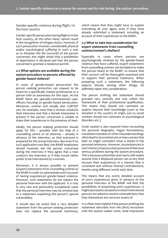<span id="page-17-0"></span>**Gender-specifc violence during fight / in the host country** 

Gender-specifc persecution during fight or in the host country, on the other hand, cannot result in the recognition of refugee status. However, if such persecution involves considerable physical and/or psychological suffering in such a way as to threaten the life (survival) of the person concerned, this might entail that a prohibition of deportation is declared and that the person concerned is granted a residence permit.

#### <span id="page-17-1"></span>**2.2 What options are available during the asylum procedure to persons afected by gender-based violence?**

In cases of gender-based persecution the person seeking protection can request to be heard by a specifcally trained professional or a person with an awareness for this topic. At the BAMF there are specially-commissioned caseofficers focusing on gender-based persecution. Moreover, women and usually also LGBTIQ\* can, for example, insist that a woman conducts their interview and that a female interpreter is present if the person concerned is unable to share their experiences in the presence of men.

Ideally, the person seeking protection should apply for this – possibly with the help of a counselling centre or an attorney – already in advance of the interview, so that everyone is prepared for the actual interview. But even if no such application was fled, the BAMF employees should routinely ask the person concerned during the interview if they agree that a man conducts the interview or if they would rather prefer to be interviewed by a woman.

Moreover, it is always possible to present (expert) statements from counselling centres to the BAMF in order to substantiate one's account of having experienced gender-based violence. However, such statements do not replace the personal interview with the applicant. It is only in very rare and particularly exceptional cases that the personal interview may be omitted due to a statement explaining the person's special vulnerability.

It should also be noted that a very detailed statement from the person seeking protection does not replace the personal testimony, which means that they might have to explain everything all over again, even if they have already submitted a statement including an account of their experiences to the BAMF.

#### **2.3 What to take into consideration for expert statements from counselling centres/women's shelters?**

Especially in cases where persons are psychologically strained by the gender-based violence they have sufered, expert statements from counselling centres can be helpful to make the person heard at the BAMF, to ensure that their concern will be thoroughly examined and to support their personal testimony. When preparing such a statement, the following aspects should, among other things, be defnitely taken into consideration:

The person drafting the statement should proceed very carefully and only within the framework of their professional qualifcation. This means they should not comment on aspects beyond their knowledge (such as the situation in the country of origin, just as social workers should not comment on psychological disorders etc.).

Great caution is also required when recounting the personal biography. Vague formulations, translation mistakes or other misunderstandings often lead to inconsistencies or inaccuracies that later on might contradict what is stated in the personal testimony. However, inconsistencies in one's history of persecution pose one of the most serious problems during the asylum procedure. This is because authorities and courts still widely assume that a displaced person can at any time recount their experiences in a manner that is consistent and without internal contradictions, merely using diferent words each time.

This means that any overly detailed account of one's experiences given in advance of the personal interview at the BAMF will limit the possibilities of presenting one's experiences. It might also lead to situations in which interviewed persons are asked to resolve contradictions that they themselves are not even aware of.

It is often more helpful if the person drafting the statement describes how the (frst) encounter with the asylum seeker went, what impression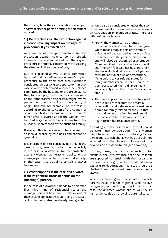<span id="page-18-0"></span>they made, how their conversation developed and what else the person drafting the statement noticed.

#### **2.4 Do directives for the protection against violence have any impact on the asylum procedure? If yes, which one?**

As a matter of principle, directives for the protection against violence do not directly infuence the asylum procedure. The asylum procedure is primarily concerned with assessing the situation in the country of origin.

But, as explained above, violence committed by a husband can infuence a woman's asylum procedure to the effect that such violence is considered an obstacle to deportation. In that case, it will be determined whether the violence committed by the husband or the circumstance that, for example, the husband's children were or are (temporarily) being seized, might involve persecution upon returning to the country of origin. This can, for example, be the case if, according to the jurisdiction of the country of origin, the children belong with the husband's family after a divorce and if the woman, who has fled together with her children from the husband, is threatened by the husband's family.

However, this issue can only be assessed on an individual case-by-case basis and cannot be generalised.

It is indispensable to consider, not only in the case of long-term separations but especially in the case of a directive for the protection against violence, that the asylum applications of marriage partners can be processed individually. In that case, it is crucial to consult a lawyer beforehand.

#### **2.5 What happens in the case of a divorce if the residential status depends on the (marriage) partner?**

In the case of a divorce, it needs to be clarifed frst which kind of residential status the marriage partners have and if both or one of their asylum applications is still being processed or if protection status has already been granted.

It should also be considered whether the stay – in our case, usually the women's stay – depends on cohabitation or marriage status. There are diferent constellations:

- Firstly, the woman can be granted protection for family members of refugees, which means that, as part of the family unit, she will be regarded as having to face the same risk as the persecuted person and will (also) be recognised as a refugee. Moreover, it will be examined, as a rule, if she "merely" followed her husband and if she has no individual reasons for fight and faces no individual risks of persecution. If she only receives refugee status for family members because her husband has been persecuted, then a divorce might considerably afect the woman's residential status.
- The same applies if a woman has followed her husband for the purpose of family reunifcation and if she received a residence permit for family-related reasons. In that case, a divorce can afect her residential title considerably. In the worst case, she might forfeit her residence permit.

Accordingly, in the case of a divorce, it should be taken into consideration if the woman might have her own reasons for having to fear persecution, which she as yet has possibly not asserted, or if the divorce could amount to a new obstacle to deportation (see above [2.2](#page-17-1)).

In many cases, the divorce as such or, for example, the circumstance that the children are supposed to remain with the husband in the country of origin, can be considered a new obstacle to deportation. This issue should be clarifed in each individual case by consulting a lawyer.

What is diferent again is the situation in which parents have children together who receive refugee protection through the father. In that case, the divorced woman can as well secure her residence title by providing parental care.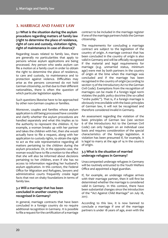# <span id="page-19-0"></span>**3. MARRIAGE AND FAMILY LAW**

#### **3.1 What is the situation during the asylum procedure regarding matters of family law (right to determine the place of residence, right of care and custody, visitation rights, right of maintenance in case of divorce)?**

Regarding issues related to family law, there are generally no particularities that apply to persons whose asylum applications are being processed. Any person who seeks asylum can fle a motion at a family court in order to obtain the right to determine the place of residence, to care and custody, to maintenance and to protection against violence. Difficulties may arise as the persons concerned do not hold German citizenship, so that due to their diferent nationalities, there is often the question of which particular legislation applies.

Such questions likewise have to be approached by other non-German couples or families.

Moreover, couples and families whose asylum application is still being processed have consider and clarify whether the asylum procedures are handled separately and what this implies as to the authority to represent the children. If, for example, a woman breaks up with her partner and takes the children with her, then she would actually have to fle a request, along with her application to custody rights, to obtain the right to act as the sole representative regarding all matters pertaining to the children during the asylum procedure. Or, in the opposite case, the woman would have to fle a motion to the efect that she will also be informed about decisions pertaining to her children, even if she has no access to information regarding her husband's asylum application. In this context, the Federal Office for Migration and Refugees, lawyers and administrative courts frequently create legal facts that rest on shaky foundations in terms of family law.

#### **3.2 Will a marriage that has been concluded in another country be recognised in Germany?**

In general, marriage contracts that have been concluded in a foreign country do no require additional recognition in Germany. It is possible to fle a request for the certifcation of a marriage

contract to be included in the marriage register if one of the marriage partners holds the German citizenship.

The requirements for concluding a marriage contract are subject to the legislation of the country of origin. A marriage contract that has been concluded in the country of origin is also valid in Germany and will be officially recognised if the material and legal requirements for marriage (e.g. unmarried status, minimum age) were met by both partners in the country of origin at the time when the marriage was concluded and if the marriage has been recognised in the country of origin (according to section 13 of the Introductory Act to the German Civil Code). Exemptions from the recognition of marriages can be made if a foreign legal norm violates the public policy doctrine (the so-called "ordre public"). That is, if a foreign marriage is obviously irreconcilable with the basic principles of German law, it will not be recognised and therefore considered invalid in Germany.

An assessment regarding the violation of the basic principles of German law (see section 6 of the Introductory Act to the German Civil Code) can only happen on an individual case basis and requires consideration of the special characteristics of the foreign legislation. A violation has been presumed if, for example, it is legal to marry at the age of 14 in the country of origin.

#### **3.3 What is the situation of married underage refugees in Germany?**

Unaccompanied underage refugees in Germany will be routinely entrusted to the Youth Welfare Office and appointed a legal guardian.

If, for example, an underage refugee arrives with their marriage partner, then it will first be determined whether the marriage is considered valid in Germany. In this context, there have been substantial changes since the introduction of the "Act Against Child Marriage" on July 18, 2017.

According to this law, it is now banned to conclude a marriage if one of the marriage partners is under 18 years of age, even with the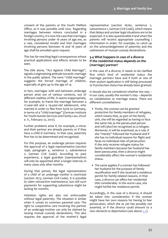<span id="page-20-0"></span>consent of the parents or the Youth Welfare Office, as it was possible until now. Regarding marriages between minors concluded in a foreign country, it is now the case that marriages involving persons under 16 years of age are, as a rule, considered invalid and that marriages involving persons between 16 and 18 years of age shall be annulled upon request.

This has far-reaching legal consequences whose practical applications and efects remain to be seen.

The title alone, "Act Against Child Marriage", signals a stigmatising attitude towards marriage in the public sphere. The term "child marriage" suggests the forced marriage of children, especially of girls up to the age of 14.

In fact, marriages with and between underage person arise out of various contexts, out of diferent realities of life. It seems inappropriate, for example, to frame the marriage between a 17-year-old and a 19-year-old adolescent, who married in order to fee from Syria to Germany, in terms of a "child marriage" (German Institute for Youth Human Services and Family Law, DIJuF e. V., February 22, 2017).

Further problems arise if, for example, a minor and their partner are already parents or if they have a child in Germany. In that case, paternity frst has to be determined and recognised.

For this purpose, an underage person requires the approval of a legal representative (section 1596, paragraph 4, sentence 2, subsentence 2, German Civil Code). According to past experience, a legal guardian (representative) will only be appointed after a longer interval, in many cases only after months.

During that period, the legal representation of a child of an underage mother is restricted (section 1673, German Civil Code). It is possible to claim retroactive maintenance, but still such payments for supporting subsistence might be lacking for months.

Visitation rights are also not enforceable without legal paternity. The situation is similar when it comes to common parental care: The right to cooperative care involving the partner of an underage mother can only be claimed by issuing mutual custody declarations. This also requires the approval of the mother's legal

representative (section 1626c, sentence 2, subsentence 1, German Civil Code), which means that delays and unclear legal situations are to be expected. It is also questionable if and when the parents will receive appropriate counselling / information in order, for example, to catch up on the acknowledgement of paternity and the submission of mutual custody declarations.

#### <span id="page-20-1"></span>**3.4 What happens in case of a divorce if the residential status depends on the (marriage) partner?**

In the case of a divorce, it needs to be clarifed frst which kind of residential status the marriage partners have and if both or one of their asylum application is still being processed or if protection status has already been granted.

It should also be considered whether the stay – in our case, usually the women's stay – depends on cohabitation or marriage status. There are diferent constellations:

- Firstly, the woman can be granted protection for family members of refugees, which means that, as part of the family unit, she will be regarded as having to face the same risk as the persecuted person and will (also) be recognised as a refugee. Moreover, it will be examined, as a rule, if she "merely" followed her husband and if she has no individual reasons for fight and faces no individual risks of persecution. If she only receives refugee status for family members because her husband has been persecuted, then a divorce might considerably afect the woman's residential status.
- The same applies if a woman has followed her husband for the purpose of family reunifcation and if she received a residence permit for family-related reasons. In that case, a divorce can afect her residential title considerably. In the worst case, she might forfeit her residence permit.

Accordingly, in the case of a divorce, it should be taken into consideration if the woman might have her own reasons for having to fear persecution, which she as yet has possibly not asserted, or if the divorce could amount to a new obstacle to deportation (see above [2.2](#page-17-1)).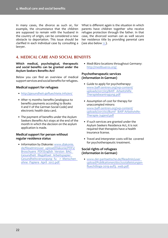<span id="page-21-0"></span>In many cases, the divorce as such or, for example, the circumstance that the children are supposed to remain with the husband in the country of origin, can be considered a new obstacle to deportation. This issue should be clarifed in each individual case by consulting a lawyer.

What is diferent again is the situation in which parents have children together who receive refugee protection through the father. In that case, the divorced woman can as well secure her residence title by providing parental care (see also below [11.](#page-34-1)).

# **4. MEDICAL CARE AND SOCIAL BENEFITS**

**Which medical, psychological, therapeutic and social benefts can be granted under the Asylum Seekers Benefts Act?**

Below you can fnd an overview of medical support services and social benefts for refugees.

#### **Medical support for refugees**

- [http://gesundheit-gefuechtete.info/en/](http://gesundheit-gefluechtete.info/en/)
- After 15 months: benefts (analogous to benefts payments according to Books II and V of the German Social Code) and electronic health data card.
- The payment of benefts under the Asylum Seekers Benefts Act stops at the end of the month in which the decision on the asylum application is made.

#### **Medical support for person without regular residence status**

• Information by Diakonie: [www.diakonie.](http://www.diakonie.de/fileadmin/user_upload/Diakonie/PDFs/Broschuere_PDF/English_Version_BAG_Gesundheit_Illegalitaet_Arbeitspapier_Gesundheitsversorgung_fu__r_Menschen_ohne_Papiere_April_2017.pdf) [de/fleadmin/user\\_upload/Diakonie/PDFs/](http://www.diakonie.de/fileadmin/user_upload/Diakonie/PDFs/Broschuere_PDF/English_Version_BAG_Gesundheit_Illegalitaet_Arbeitspapier_Gesundheitsversorgung_fu__r_Menschen_ohne_Papiere_April_2017.pdf) Broschuere\_PDF/English\_Version\_BAG Gesundheit\_Illegalitaet\_Arbeitspapier Gesundheitsversorgung fu\_r\_Menschen [ohne\\_Papiere\\_April\\_2017.pdf](http://www.diakonie.de/fileadmin/user_upload/Diakonie/PDFs/Broschuere_PDF/English_Version_BAG_Gesundheit_Illegalitaet_Arbeitspapier_Gesundheitsversorgung_fu__r_Menschen_ohne_Papiere_April_2017.pdf)

• Medi-Büro locations throughout Germany: <http://medibueros.org>/

#### **Psychotherapeutic services (information in German)**

- Guide to apply for psychotherapy: www.baff-zentren.org/wp-content/ uploads/2017/03/BAfF\_Arbeitshilfe [Therapiebeantragung.pdf](http://www.baff-zentren.org/wp-content/uploads/2017/03/BAfF_Arbeitshilfe_Therapiebeantragung.pdf)
- Assumption of cost for therapy for unaccompied minors: www.baff-zentren.org/wp-content/ [uploads/2017/02/BumF\\_BAfF-Arbeitshilfe-](http://www.baff-zentren.org/wp-content/uploads/2017/02/BumF_BAfF-Arbeitshilfe-Therapie-Jugend.pdf)[Therapie-Jugend.pdf](http://www.baff-zentren.org/wp-content/uploads/2017/02/BumF_BAfF-Arbeitshilfe-Therapie-Jugend.pdf)
- If such services are granted under the Asylum Seekers Residence Act, it is not required that therapists have a health insurance license.
- Travel and interpreter costs will be covered for psychotherapeutic treatment.

#### **Social rights of refugees (information in German)**

• [www.der-paritaetische.de/fleadmin/user\\_](http://www.der-paritaetische.de/fileadmin/user_upload/Publikationen/doc/sozialleistungen-fluechtlinge-2019-aufl3_web.pdf) [upload/Publikationen/doc/sozialleistungen](http://www.der-paritaetische.de/fileadmin/user_upload/Publikationen/doc/sozialleistungen-fluechtlinge-2019-aufl3_web.pdf)fluechtlinge-2019-aufl3\_web.pdf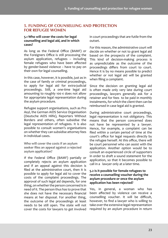# <span id="page-22-0"></span>**5. FUNDING OF COUNSELLING AND PROTECTION FOR REFUGEE WOMEN**

#### <span id="page-22-1"></span>**5.1 Who will cover the costs for legal counselling and legal aid, and in which cases?**

As long as the Federal Office (BAMF) or the Foreigners Office is still processing the asylum application, refugees – including female refugees who have been afected by gender-based violence – have to pay on their own for legal counselling.

In this case, however, it is possible, just as in the case of family or criminal proceedings, to apply for legal aid for extra-judicial proceedings. Still, a one-time legal aid amounting to roughly 100 € does not allow for appropriate legal representation during the asylum procedure.

Refugee support organisations, such as Pro Asyl, the German AIDS Service Organisation (Deutsche AIDS Hilfe), Reporters Without Borders and others, often subsidise the legal representation of refugees. It is also possible to consult women's organisations on whether they can subsidise attorney fees in individual cases.

**Who will cover the costs if an asylum seeker fles an appeal against a rejected asylum application?**

If the Federal Office (BAMF) partially or completely rejects an asylum application and if an appeal against this decision is fled at the administrative court, then it is possible to apply for legal aid to cover the costs of the complaint proceedings. The approval of such legal aid depends, for one thing, on whether the person concerned is in need of it. The person thus has to prove that she does not have the necessary fnancial means at her disposal. For another thing, the outcome of the proceedings at least needs to be still open. The state will not cover the costs for lawyers to get involved

in court proceedings that are futile from the outset.

For this reason, the administrative court will decide on whether or not to grant legal aid based on the prospects of the complaint. This kind of decision-making process is as unpredictable as the outcome of the proceedings difers from court to court. Hence it is by no means possible to predict whether or not legal aid will be granted when fling a complaint.

Since the decision on granting legal aid is often made only very late during court proceedings, lawyers generally ask for a retainer and for fees to be paid in monthly instalments, for which the client then can be reimbursed in case legal aid is granted.

During administrative court proceedings, legal representation is not obligatory. This means that the person concerned does not have be represented by a lawyer. Hence, for example, a complaint can be fled within a certain period of time at the court's office for legal requests directly by the refugee herself. At this office, there will be court personnel who can assist with the application. Another option would be to consult an experienced circle of supporters in order to draft a sound statement for the application, so that it becomes possible to call in a lawyer only at a later time.

#### **5.2 Is it possible for female refugees to receive a counselling voucher during the asylum procedure or once the asylum application has been rejected?**

Yes, in general, a woman who has been affected by violence can receive a counselling voucher. It will be difficult, however, to fnd a lawyer who is willing to take over the extensive legal representation required by an asylum procedure in return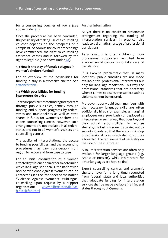<span id="page-23-0"></span>for a counselling voucher of 100 € (see **Further information** above under [5.1](#page-22-1)).

Once the procedure has been concluded, the possibility of making use of a counselling voucher depends on the prospects of a complaint. As soon as the court proceedings have commenced, the right to counselling assistance ceases and is followed by the right to legal aid (see above under [5.1](#page-22-1)).

#### **5.3 How is the stay of female refugees in women's shelters funded?**

For an overview of the possibilities for funding a stay in a woman's shelter: See [attached table](#page-43-0).

#### **5.4 Which possibilities for funding interpreters do exist**

There are possibilities for funding interpreters through public subsidies, namely through funding and support programs by federal states and municipalities as well as state shares in funds for women's shelters and expert counselling centres. However, such arrangements are not available in all federal states and not in all women's shelters and counselling centres.

The quality of interpretations, the access to funding possibilities, and the accounting procedures may vary considerably from region to region and from case to case.

For an initial consultation of a women afected by violence or in order to determine which language she speaks, the nationwide hotline "Violence Against Women" can be contacted (see the info sheet of the hotline "Violence Against Women": Multilingual counselling upon request by a support organisation: [www.hilfetelefon.de/das](http://www.hilfetelefon.de/das-hilfetelefon.html)[hilfetelefon.html](http://www.hilfetelefon.de/das-hilfetelefon.html)

As yet there is no consistent nationwide arrangement regarding the funding of interpretation services. In practice, this leads to a dramatic shortage of professional translations.

As a result, it is often children or nonprofessional supporters recruited from a wider social context who take care of translations.

It is likewise problematic that, in many locations, public subsidies are not made available for professional interpreters but only for language mediation. This way the professional standards that are necessary when it comes to a sensitive subject such as violence cannot be ensured.

Moreover, poorly paid team members with the necessary language skills are often additionally hired (for example, as marginal employees on a 400€ basis) or deployed as interpreters in such a way that goes beyond their actual responsibilities. In refugee shelters, this task is frequently carried out by security guards, so that there is a mixing up of professional roles, which also constitutes a breach of the requirement of neutrality on the side of the interpreter.

Also, interpretation services are often only available for larger language groups (e.g. Arabic or Russian), while interpreters for other languages are hard to fnd.

Expert counselling centres and women's shelters have for a long time requested from federal, state and local authorities that adequate funding for interpretation services shall be made available in all federal states through-out Germany.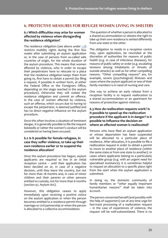# <span id="page-24-0"></span>**6. PROTECTIVE MEASURES FOR REFUGEE WOMEN LIVING IN SHELTERS**

#### **6.1 Which difculties may arise for women afected by violence when disregarding the residence obligation?**

The residence obligation (see above under [1.6](#page-12-1)) restricts mobility rights during the frst few weeks after submitting an asylum application or, in the case of persons from so-called safe countries of origin, for the whole duration of the asylum procedure. This means that women afected by violence, who in order to escape their perpetrators have to relocate to a place that the residence obligation keeps them from going to, frst have to obtain a permit (by fling a request, if possible in written form, at either the Federal Office or the Foreigners Office. depending on the stage reached in the asylum procedure). Otherwise they will violate the residence obligation and commit an ofence. In the case of women afected by violence, such an offence, which occurs due to having to escape the perpetrator, is deemed justifed and has no direct negative infuence on the asylum procedure.

Since this often involves a situation of imminent danger, it is generally possible to fle the request belatedly or rather the women's conduct will be considered as having been excused.

#### <span id="page-24-1"></span>**6.2 Is it possible for female refugees, in case they sufer violence, to take up their own residence earlier or to suspend the residence allocation?**

Once the asylum procedure has begun, asylum applicants are required to live in an initial reception centre – until their application has been decided on or, in case of a negative decision, until they leave the country, but not for more than 18 months and, in case of minor children and their parents or other persons entitled to custody, not for more than 6 months (section 47, Asylum Act).

However, this obligation ceases to apply immediately upon receiving a positive notice on the asylum application or when the person becomes entitled to a residence permit through marriage or civil partnership or when the person is allocated to a collective accommodation.

 The question of whether a person is allocated to a shared accommodation or obtains the right to take up their own residence is settled diferently from one state to the other.

The obligation to reside in a reception centre may, upon application, be rescinded at the discretion of authorities for reasons of public health (e.g. in case of infectious diseases), for reasons of public safety or order (e.g. escalating tensions among inhabitants or threats of outside attacks) as well as for other compelling reasons. "Other compelling reasons" are, for example, severe (psychological) illnesses and cases where the asylum applicant or one of their family members is in need of nursing and care.

One way to achieve an early release from a reception facility is to request reallocation to a shared accommodation or an apartment for reasons of protection against violence.

#### <span id="page-24-2"></span>**6.3 How do reallocation requests work? Is it possible to speed up the reallocation procedure if the applicant is in danger? Is it possible to infuence the decision on where an afected woman is reallocated?**

Persons who have fled an asylum application or whose deportation has been suspended will be allocated to a particular place of residence. After allocation, it is possible to fle a reallocation request in order to obtain a permit to move to another place of residence (within the same state or from one state to another). In cases where applicants belong to a particularly vulnerable group (e.g. with an urgent need for specialised assistance), it is sometimes helpful to request an allocation to a specifc place right from the start when the asylum application is submitted.

In doing so, the domestic community of family members or "other equally important humanitarian reasons" shall be taken into account.

The person concerned herself (and possibly with the help of supporters) can at any time urge for fast-track processing of a reallocation request – in the case of experiences of violence, the request will be well-substantiated. There is no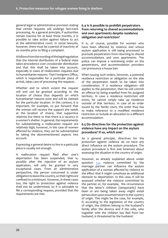<span id="page-25-0"></span>general legal or administrative provision stating that certain requests will undergo fast-track processing. As a general principle, if authorities remain inactive for at least three months, it is possible to take action against failure to act at the administrative court. In social lawsuits, however, there must be a period of inactivity of six months prior to fling a complaint.

It follows from the wording of the legal regulation that the internal distribution of a federal state takes precedence over crossborder distribution and that this shall be taken into account, especially in cases of reallocation requests due to humanitarian reasons. That Foreigners Office, which is responsible for a particular place of arrival, takes care of processing the requests.

Whether and to which extent the request will and can be granted according to the location of choice thus depends on which humanitarian reasons exist and will be claimed for the particular location. In this context, it is important, for example, to put forward that the woman will receive the support she needs at the location of choice, that supportive relatives live there or that there is a vacancy in a women's shelter. In general, the requirements for substantiating a reallocation request are relatively high; however, in the case of women afected by violence, they can be substantiated by taking the abovementioned aspects into account.

Expressing a general desire to live in a particular place is usually not enough.

A reallocation request fled after one's deportation has been suspended, that is, possibly after the rejection of an asylum application, will only be granted in very exceptional cases. From an administrative perspective, the person concerned is under obligation to leave the country, so their rights are confned to a minimum. However, in these cases too, the right to protection against violence shall not be undermined, so it is advisable to fle a corresponding request, provided that the requirements are met.

#### **6.4 Is it possible to prohibit perpetrators from returning to shared accommodations and own apartments despite residence obligation and restriction?**

It is, of course, possible for women who have been afected by violence and whose asylum application is still being processed to preclude perpetrators from returning to shared accommodations and own apartments. The police can impose a restraining order on the perpetrators, and accommodation providers can pronounce a house ban.

When issuing such orders, however, a potential residence restriction or obligation on the side of the perpetrator needs to be taken into consideration. If a residence obligation still applies to the perpetrator, then he will commit an offence by being expelled from his assigned territory. In case a residence restriction still exists, he cannot simply take up residence outside of that territory. In case of an order issued by the family court, the order thus has to make reference to a modifed residence restriction or include an allocation to a diferent accommodation.

#### **6.5 Do directives for the protection against violence have any impact on the asylum procedure? If so, which one?**

As a general principle, directives for the protection against violence do no have any direct infuence on the asylum procedure. The asylum procedure is frst and foremost about assessing the situation in the country of origin.

However, as already explained above under question [3.4,](#page-20-1) violence committed by the marriage partner can infuence the asylum application of a woman afected by violence to the efect that it might constitute an additional obstacle to deportation. In this case, it will be assessed whether the violence committed by the partner or, for example, the circumstance that the latter's children (temporarily) have been or are being taken away might entail persecution upon assumed return to the country of origin. This might be the case, for example, if, according to the legislation of the country of origin, the children belong to the husband's family after the divorce and if the wife, who together with the children has fed from her husband, is threatened by the husband.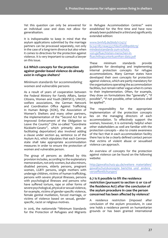<span id="page-26-0"></span>Yet this question can only be answered for an individual case and does not allow for generalisation.

It is indispensable to keep in mind that the asylum applications submitted by the marriage partners can be processed separately, not only in the case of a long-term divorce but also when it comes to directives for the protection against violence. It is very important to consult a lawyer on this issue.

#### **6.6 Which concepts for the protection against gender-based violence do already exist in refugee shelters?**

**Minimum standards for accommodating women and vulnerable persons**

As a result of years of cooperation between the Federal Ministry for Family Affairs, Senior Citizens, Women and Youth (BMFSFJ), UNICEF, welfare associations, the German Network and Coordination Office Against Trafficking In Human Beings (KOK), the Association of Women's Shelters and many other partners, the implementation of the "Second Act for an Improved Enforcement of the Obligation to Leave the Country" (the so-called "Geordnete Rückkehr-Gesetz", which primarily aims at facilitating deportation) also involved adding a clause under section 44, sentence 2a of the Asylum Act, which stipulates that each German state shall take appropriate accommodation measures in order to ensure the protection of women and vulnerable person.

The group of persons as defned by this provision includes, according to the explanatory memorandum, not only women, but also minors, disabled persons, elderly persons, pregnant women, LGBTI persons, single mothers with underage children, victims of human trafficking, persons with severe physical illnesses, persons with psychological illnesses and persons who have suffered torture, rape or other forms of severe psychological, physical or sexual violence, for example, victims of gender-specifc violence, female genital mutilation, forced marriage, or victims of violence based on sexual, genderspecifc, racist or religious motives.

In 2016, the nationwide "Minimum Standards for the Protection of Refugees and Migrants in Refugee Accommodation Centres" were established for the frst time and have now already been published in a third and signifcantly extended edition:

[www.bmfsf.de/blob/117472/](http://www.bmfsfj.de/blob/117472/bc24218511eaa3327fda2f2e8890bb79/mindeststandards-zum-schutz-von-gefluechteten-menschen-in-fluechtlingsunterkuenften-data.pdf) [bc24218511eaa3327fda2f2e8890bb79/](http://www.bmfsfj.de/blob/117472/bc24218511eaa3327fda2f2e8890bb79/mindeststandards-zum-schutz-von-gefluechteten-menschen-in-fluechtlingsunterkuenften-data.pdf) [mindeststandards-zum-schutz](http://www.bmfsfj.de/blob/117472/bc24218511eaa3327fda2f2e8890bb79/mindeststandards-zum-schutz-von-gefluechteten-menschen-in-fluechtlingsunterkuenften-data.pdf)[von-gefuechteten-menschen-in](http://www.bmfsfj.de/blob/117472/bc24218511eaa3327fda2f2e8890bb79/mindeststandards-zum-schutz-von-gefluechteten-menschen-in-fluechtlingsunterkuenften-data.pdf)[fuechtlingsunterkuenften-data.pdf](http://www.bmfsfj.de/blob/117472/bc24218511eaa3327fda2f2e8890bb79/mindeststandards-zum-schutz-von-gefluechteten-menschen-in-fluechtlingsunterkuenften-data.pdf)

These minimum standards provide guidelines for developing and implementing internal protection concepts for refugee accommodations. Many German states have developed their own concepts for protection against violence, which are partly mandatory for the organisations operating the accommodation facilities, but remain rather vague when it comes to their implementation. Often, for example, they draw on formulations like "generally", "if possible", "if not possible, other solutions shall be applied".

The responsibility for the appropriate implementation of the protection concepts lies on the managing directors of each accommodation. To efectively support the women, however, it is extremely helpful when other stakeholders as well are familiar with the protection concepts – also to create awareness of the fact that in each accommodation facility there has to be a clearly defned contact person that victims of violent abuse or sexualised violence can approach.

An overview of concepts for the protection against violence can be found on the following website:

[http://gewaltschutz-gu.de/weitere\\_materialien/](http://gewaltschutz-gu.de/weitere_materialien/gewaltschutzkonzepte_berichte_und_) [gewaltschutzkonzepte\\_berichte\\_und\\_](http://gewaltschutz-gu.de/weitere_materialien/gewaltschutzkonzepte_berichte_und_) andere\_ veroefentlichungen/

#### **6.7 Is it possible to lift the residence restriction (pursuant to section 12 or 12a of the Residence Act) after the conclusion of the asylum procedure in case the person concerned has been afected by violence?**

A residence restriction (imposed after conclusion of the asylum procedure, in case one holds a residence permit on humanitarian grounds or has been granted international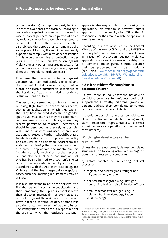<span id="page-27-0"></span>protection status) can, upon request, be lifted in order to avoid cases of hardship. According to law, violence against women constitutes such a case of hardship. Therefore, a person afected by violence cannot be reasonably expected to remain at a place if the residence restriction also obliges the perpetrator to remain at the same place. Likewise, it cannot be reasonably expected to comply with a residence restriction if this would undermine a protection order pursuant to the Act on Protection against Violence or any other measures necessary for protection against violence (especially against domestic or gender-specifc violence).

If a case that requires protection against violence has been sufficiently explained and documented, it shall always be regarded as a case of hardship pursuant to section 12a of the Residence Act, and an existing residence restriction shall be lifted.

The person concerned must, within six weeks of taking fight from their allocated residence, submit an application, in which they explain that they have sufered domestic or genderspecifc violence and that they will continue to be threatened with such violence, unless they receive permission to relocate. Therefore, it should be described, as precisely as possible, what kind of violence was used, when it was used and who used it. Further, it should be stated to which location and which protective facility one requests to be relocated. Apart from the statement explaining the situation, one should also present appropriate documentation. This includes not only medical or hospital records, but can also be a letter of confrmation that one has been admitted to a women's shelter or a protection order issued by a court, in accordance with the Act on Protection against Violence and the like. In especially exceptional cases, such documenting requirements may be waived.

It is also important to note that persons who fnd themselves in such a violent situation and then temporarily (for up to six weeks) leave their allocated municipality or even state do not violate against the residence restriction laid down in section 12a of the Residence Act and thus also do not commit an administrative offence. The Immigration Office that is responsible for the area to which the residence restriction applies is also responsible for processing the application. This office must, however, obtain approval from the Immigration Office that is responsible for the area to which the applicants intends to move.

According to a circular issued by the Federal Ministry of the Interior (BMI) and the BMFSFJ in February 2020 concerning residence regulations in cases of protection against violence, applications for avoiding cases of hardship due to domestic and/or gender-specifc violence shall be processed with special priority (see also [www.nds-fuerat.org/wp-content/](http://www.nds-fluerat.org/wp-content/uploads/2020/03/BMI_BMFSFJ_Wohnsitzrglng_Gewaltschutz_14-02-2020.pdf) uploads/2020/03/BMI\_BMFSFJ\_Wohnsitzrglng [Gewaltschutz\\_14-02-2020.pdf](http://www.nds-fluerat.org/wp-content/uploads/2020/03/BMI_BMFSFJ_Wohnsitzrglng_Gewaltschutz_14-02-2020.pdf)).

#### **6.8 Is it possible to fle complaints in accommodations?**

As yet there is no consistent nationwide complaint structure for refugees and their supporters.3 Currently, diferent groups of persons address their complaints to various actors within and outside of shelters.

It should be possible to address complaints to all parties active within a shelter (management, staf, inhabitant representatives, external expert bodies or cooperation partners as well as volunteers).

#### **Which higher-level actors can be approached?**

Unless there are no formally defned complaint structures, the following actors are among the potential addressees of complaints:

a) actors capable of infuencing political processes:

- regional and supraregional refugee and migrant self-organisations
- political interest groups (e.g. Refugee Council, ProAsyl, anti-discrimination offices)
- ombudspersons for refugees (e.g. in Cologne, Berlin or Hamburg, Baden-Württemberg)

<sup>3</sup> The state of North Rhine-Westphalia constitutes an exception as it provides funding a complaint office in every state shelter. Moreover, the state has arranged for a supraregional coordination office, mobile controlling team as well as a round-table located at the state's ministry of internal affairs.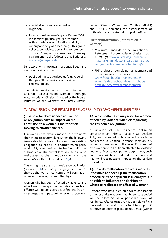- <span id="page-28-0"></span>• specialist services concerned with migration
- International Women's Space Berlin (IWS) is a feminist political group of women with experiences of migration and fight. Among a variety of other things, this group collects complaints pertaining to refugee shelters. Complaints from all over Germany can be send to the following email address: [iwspace@iwspace.de](mailto:iwspace@iwspace.de)

b) actors with political responsibilities and decision-making power

• public administration bodies (e.g. Federal Refugee Office, regional authorities, citizens' offices)

The "Minimum Standards for the Protection of Children, Adolescents and Women in Refugee Accommodation Shelters", issued by the federal initiative of the Ministry for Family Affairs,

Senior Citizens, Women and Youth (BMFSFJ) and UNICEF, demands the establishment of both internal and external complaint offices.

**Further information (information in German)**

- Minimum Standards for the Protection of Refugees in Accommodation Shelters (pp. 16-17): -17): [www.unicef.de/informieren/](http://www.unicef.de/informieren/materialien/mindeststandards-zum-schutz-von-gefluechteten-menschen/144156) [materialien/mindeststandards-zum-schutz](http://www.unicef.de/informieren/materialien/mindeststandards-zum-schutz-von-gefluechteten-menschen/144156)[von-gefuechteten-menschen/144156](http://www.unicef.de/informieren/materialien/mindeststandards-zum-schutz-von-gefluechteten-menschen/144156)
- FHK project on complaint management and protection against violence: [www.frauenhauskoordinierung.de/](http://www.frauenhauskoordinierung.de/arbeitsfelder/flucht-und-gewaltschutz/projekte/beschwerdemanagement/) [arbeitsfelder/fucht-und-gewaltschutz/](http://www.frauenhauskoordinierung.de/arbeitsfelder/flucht-und-gewaltschutz/projekte/beschwerdemanagement/) [projekte/beschwerdemanagement/](http://www.frauenhauskoordinierung.de/arbeitsfelder/flucht-und-gewaltschutz/projekte/beschwerdemanagement/)

# <span id="page-28-1"></span>**7. ADMISSION OF FEMALE REFUGEES INTO WOMEN'S SHELTERS**

#### **7.1 In how far do residence restriction or obligation have an impact on the admission to a women's shelter or on moving to another shelter?**

If a woman has already moved to a women's shelter due to acute violence, then the following issues should be noted: In case of an existing obligation to reside in another municipality or district, a request has to be fled with the authorities at the arrival location, so as to be reallocated to the municipality in which the women's shelter is located (see [6.3](#page-24-2)).

There might also exist a residence obligation (see under [1.6](#page-12-1)), so that by changing the women's shelter, the woman concerned will commit an offence. However, if committed by a

woman who has been afected by violence and who flees to escape her perpetrator, such an offence will be considered justified and has no direct negative impact on the asylum procedure.

#### **7.2 Which difculties may arise for women afected by violence when disregarding the residence obligation?**

A violation of the residence obligation constitutes an offence (section 86, Asylum Act), and repeated violations will already be considered a criminal offence (section 85, sentence 2, Asylum Act). However, if committed by a women who has been afected by violence and who flees to escape her perpetrator, such an offence will be considered justified and and has no direct negative impact on the asylum procedure.

#### **7.3 How do reallocation requests work? Is it possible to speed up the reallocation procedure if the applicant is in danger? Is it possible to infuence the decision on where to reallocate an afected woman?**

Persons who have fled an asylum application or whose deportation has been suspended will be allocated to a particular place of residence. After allocation, it is possible to fle a reallocation request in order to obtain a permit to move to another place of residence (within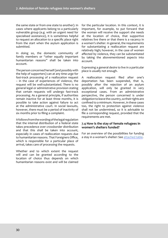<span id="page-29-0"></span>the same state or from one state to another). In cases where applicants belong to a particularly vulnerable group (e.g. with an urgent need for specialised assistance), it is sometimes helpful to request an allocation to a specifc place right from the start when the asylum application is submitted.

In doing so, the domestic community of family members or "other equally important humanitarian reasons" shall be taken into account.

The person concerned herself (and possibly with the help of supporters) can at any time urge for fast-track processing of a reallocation request – in the case of experiences of violence, the request will be well-substantiated. There is no general legal or administrative provision stating that certain requests will undergo fast-track processing. As a general principle, if authorities remain inactive for at least three months, it is possible to take action against failure to act at the administrative court. In social lawsuits, however, there must be a period of inactivity of six months prior to fling a complaint.

It follows from the wording of the legal regulation that the internal distribution of a federal state takes precedence over crossborder distribution and that this shall be taken into account, especially in cases of reallocation requests due to humanitarian reasons. That Foreigners Office, which is responsible for a particular place of arrival, takes care of processing the requests.

Whether and to which extent the request will and can be granted according to the location of choice thus depends on which humanitarian reasons exist and will be claimed for the particular location. In this context, it is important, for example, to put forward that the woman will receive the support she needs at the location of choice, that supportive relatives live there or that there is a vacancy in a women's shelter. In general, the requirements for substantiating a reallocation request are relatively high; however, in the case of women afected by violence, they can be substantiated by taking the abovementioned aspects into account.

Expressing a general desire to live in a particular place is usually not enough.

A reallocation request fled after one's deportation has been suspended, that is, possibly after the rejection of an asylum application, will only be granted in very exceptional cases. From an administrative perspective, the person concerned is under obligation to leave the country, so their rights are confned to a minimum. However, in these cases too, the right to protection against violence shall not be undermined, so it is advisable to fle a corresponding request, provided that the requirements are met.

#### **7.4 How is the stay of female refugees in women's shelters funded?**

For an overview of the possibilities for funding a stay in a woman's shelter: See [attached table.](#page-43-0)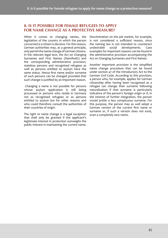# <span id="page-30-0"></span>**8. IS IT POSSIBLE FOR FEMALE REFUGEES TO APPLY FOR NAME CHANGE AS A PROTECTIVE MEASURE?**

When it comes to changing names, the legislation of the country in which the person concerned is a citizen is decisive. For this reason, German authorities may, as a general principle, only permit the name change of German citizens. In the relevant legal text, the Act on Changing Surnames and First Names (NamÄndG) and the corresponding administrative provision, stateless persons and recognised refugees as well as persons entitled to asylum have the same status. Hence frst name and/or surname of such persons can be changed provided that such change is justifed by an important reason.

 Changing a name is not possible for persons whose asylum application is still being processed or persons who reside in Germany not as recognised refugees or as persons entitled to asylum but for other reasons and who could therefore consult the authorities of their countries of origin.

The right to name change is a legal exception that shall only be granted if the applicant's legitimate interest in protection outweighs the public interest in maintaining the current name. Discrimination on the job market, for example, is not considered a sufficient reason, since the naming law is not intended to counteract undesirable social developments. Case examples for important reasons can be found in the administrative provision accompanying the Act on Changing Surnames and First Names.

Another important provision is the simplifed name change procedure that can be found under section 47 of the Introductory Act to the German Civil Code. According to this provision, a person who, for example, applies for German citizenship after having been recognised as a refugee can change their surname following naturalisation if that surname is particularly indicative of the person's foreign origin or if, in the interest of further integration, the person would prefer a less conspicuous surname. For this purpose, the person may as well adopt a German version of the current frst name or surname or, if such a version does not exist, even a completely new name.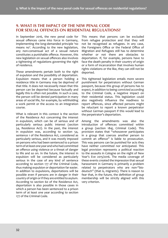# <span id="page-31-0"></span>**9. WHAT IS THE IMPACT OF THE NEW PENAL CODE FOR SEXUAL OFFENCES ON RESIDENTIAL REGULATIONS?**

In September 2016, the new penal code for sexual offences came into force in Germany, implementing the long-demanded principle 'no means no'. According to the new legislation, any non-consensual act of a sexual nature constitutes a punishable ofence. However, this new legislation on sexual ofences also involves a tightening of regulations governing the right of residence.

These amendments pertain both to the right of expulsion and the possibility of deportation. Expulsion means that a person holding a residence title in Germany may be deprived of that title. It does not necessarily mean that this person can be deported because factually and legally this is often not possible. In such a case, the person will be denied participation in many areas of social life, for example, by withholding a work permit or the access to an integration course.

What is relevant in this context is the section of the Residence Act concerning the interest in expulsion, which can be of serious and of particularly serious public interest (section 54, Residence Act). In the past, the interest in expulsion was, according to section 54, sentence 1 of the Residence Act, considered as particularly serious, and it was mostly imposed on persons who had been sentenced to a prison term of at least one year and who had committed an offence using violence or a threat of danger to life and so on. In the future, the interest in expulsion will be considered as particularly serious in the case of any kind of sentence according to section 177 of the Criminal Code, thus making expulsion or deportation far easier. In addition to expulsions, deportations will be possible even if persons are in danger in their country of origin or if they are entitled to asylum. According to section 60 of the Residence Act, deportation is also possible in those cases in which a person has been sentenced to a prison term of at least one year according to section 177 of the Criminal Code.

This means that persons can be excluded from refugee protection and that they will not be recognised as refugees. In any case, the Foreigners Office or the Federal Office of Migration and Refugees still has to determine whether or not there are obstacles to deportation. If, for example, persons have to face the death penalty in their country of origin or a form of incarceration that involves human rights violations or the like, they can still not be deported.

This tightened legislation entails more severe punishment for perpetrators without German passport, because this group of persons has to expect, in addition to being convicted according to the Criminal Code, a negative impact on their residential status. This legislation could also negatively infuence the readiness to report offences, since affected persons might be reluctant to report a known perpetrator without German passport if this would lead to the perpetrator's deportation.

Among the amendments was also the introduction of ofences committed within a group (section 184j, Criminal Code). This provision states that "whosoever participates in a group that coerces another person to commit an offence" is liable to prosecution. This way persons can be punished for acts they have neither committed nor anticipated. This legal provision represents a political reaction to the assaults in Cologne on the night of New Year's Eve 2015/2016. The media coverage of these events created the impression that sexual harassment in Germany is primarily a problem related to perpetrators who are non-"biodeutsch" (that is, migrants). There is reason to fear that, in the future, the defnition of group membership will be strictly aligned with this very criterion.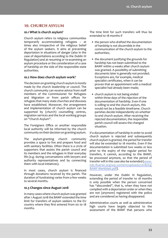# <span id="page-32-0"></span>**10. CHURCH ASYLUM**

#### **10.1 What is church asylum?**

Church asylum refers to religious communities temporarily accommodating refugees – at times also irrespective of the religious belief of the asylum seekers. It aims at preventing deportation in situations of danger (also in the case of deportations according to the Dublin III Regulation) and at resuming or re-examining an asylum procedure or the consideration of a case of hardship on the side of the responsible state authorities.

#### **10.2 How does church asylum work?**

The decision on granting church asylum is mostly made by the church leadership or council. The church community can receive advice from staf members of the Commissioner for Refugees and Migration or from parish offices for refugees that many state churches and dioceses have established. Moreover, the arrangement and implementation of church asylum can be supported by (church) counselling centres, migration services and the local working groups on "Church Asylum".

The Foreigners Office or another responsible local authority will be informed by the church community on their decision on granting asylum.

The asylum-granting church community provides a space to live and prepare food and with sanitary facilities. Often there is a circle of supporters that assists the parish council and its members and the refugees in their everyday life (e.g. during conversations with lawyers and authority representatives and by connecting them with local initiatives).

In most cases, church asylum is fnanced through donations received by the parish. The duration of fundraising varies from a few weeks to several months.

#### **10.3 Changes since August 2018**

In many cases where church asylum was granted after 1 August 2018 the BAMF extended the time limit for transfers of asylum seekers to the EU country where they frst entered from six to 18 months.

The time limit for such transfers will thus be extended to 18 months if

- the person who drafted the documentation of hardship is not discernible in the communication of the church asylum to the authorities;
- the document justifying the grounds for hardship has not been submitted to the BAMF within 4 weeks after church asylum was granted. A possibility of submitting documents later is generally not provided. Exceptions are, for example, medical specialist certifcates, when it can be proven that an appointment with a medical specialist had already been made;
- church asylum is not being ended within three days of the rejection of the documentation of hardship. Even if one is willing to end the church asylum, this would not be a feasible timeframe. Church parishes decide independently on whether to end church asylum. After receiving the rejected documentation, the responsible parish council will assess the changed situation.

If a documentation of hardship in order to avoid church asylum is rejected and subsequently church asylum is granted, the period for transfer will also be extended to 18 months. Even if the documentation is submitted two weeks or less prior to the expiry of the regular period for transfers, it cannot, according to the BAMF, be processed anymore, so that the period of transfer will in this case also be extended ([www.](http://www.nds-fluerat.org/wp-content/uploads/2018/09/BAMF-Merkblatt.pdf) [nds-fluerat.org/wp-content/uploads/2018/09/](http://www.nds-fluerat.org/wp-content/uploads/2018/09/BAMF-Merkblatt.pdf) [BAMF-Merkblatt.pdf](http://www.nds-fluerat.org/wp-content/uploads/2018/09/BAMF-Merkblatt.pdf)).

However, under the Dublin III Regulation, extending the period of transfer to 18 months is only possible when the person concerned has "absconded", that is, when they have not complied with a deportation order or when they are not (anymore) registered with the police and are considered as having disappeared.

Administrative courts as well as administrative high courts have largely objected to the assessment of the BAMF that persons who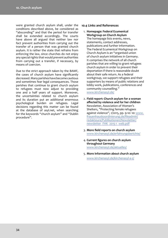<span id="page-33-0"></span>were granted church asylum shall, under the conditions described above, be considered as "absconding" and that the period for transfer shall be extended accordingly. The courts have above all argued that neither law nor fact prevent authorities from carrying out the transfer of a person that was granted church asylum. It is rather the state that refrains from enforcing the law, since churches do not enjoy any special rights that would prevent authorities from carrying out a transfer, if necessary, by means of coercion.

Due to the strict approach taken by the BAMF, the cases of church asylum have signifcantly decreased. Many parishes have become cautious and sometimes fear legal consequences. Those parishes that continue to grant church asylum to refugees must now adjust to providing one and a half years of support. Moreover, the uncertainties related to church asylum and its duration put an additional enormous psychological burden on refugees. Legal decisions regarding this matter can be found at the database of [asyl.net,](http://asyl.net) when searching for the keywords "church asylum" and "Dublin procedure".

#### **10.4 Links and References**

1. **Homepage: Federal Ecumenical Workgroup on Church Asylum**

The homepage lists events, news, statements, contact addresses, publications and further information. The Federal Ecumenical Workgroup on Church Asylum is an "organised union of church asylum initiatives in Germany. It comprises the network of all church parishes that are willing to grant refugees church asylum in order to prevent their deportation if there is reasonable doubt about their safe return. As a federal workgroup, we support refugees and their supporters by means of public relations and lobby work, publications, conferences and community counselling." [www.kirchenasyl.de](http://www.kirchenasyl.de)/

- 2. **Field report: Church asylum for a woman afected by violence and for her children** Newsletter, Association of Women's Shelters, "Protecting female refugees against violence", 1/2015, pp. 9-10: 10: [www.](http://www.frauenhauskoordinierung.de/fileadmin/redakteure/Publikationen/Newsletter/newsletter_FHK_2015-1_web.pdf) [frauenhauskoordinierung.de/fleadmin/](http://www.frauenhauskoordinierung.de/fileadmin/redakteure/Publikationen/Newsletter/newsletter_FHK_2015-1_web.pdf) [redakteure/Publikationen/Newsletter/](http://www.frauenhauskoordinierung.de/fileadmin/redakteure/Publikationen/Newsletter/newsletter_FHK_2015-1_web.pdf) [newsletter\\_FHK\\_2015-1\\_web.pdf](http://www.frauenhauskoordinierung.de/fileadmin/redakteure/Publikationen/Newsletter/newsletter_FHK_2015-1_web.pdf)
- 3. **More feld reports on church asylum**  [www.kirchenasyl.de/erfahrungsberichte/](http://www.kirchenasyl.de/erfahrungsberichte/)
- 4. **Current fgures on church asylum throughout Germany**  [www.kirchenasyl.de/aktuelles/](http://www.kirchenasyl.de/aktuelles/)
- 5. **More information about church asylum** [www.kirchenasyl.de/kirchenasyl-a-z/](http://asylumwww.kirchenasyl.de/kirchenasyl-a-z/)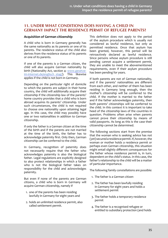# <span id="page-34-1"></span><span id="page-34-0"></span>**11. UNDER WHAT CONDITIONS DOES HAVING A CHILD IN GERMANY IMPACT THE RESIDENCE PERMIT OF REFUGEE PARENTS?**

#### **Acquisition of German citizenship**

A child who is born in Germany generally has the same nationality as its parents or one of its parents. The residence status of the child also derives from the residence status of its parents or one of its parents.

If one of the parents is a German citizen, the child will also acquire German nationality by birth (Nationality Act, section 4: [www.gesetze](http://www.gesetze-im-internet.de/englisch_stag/)im-internet.de/englisch stag/). This likewise applies if the child is not born in Germany.

Depending on the particular right of domicile to which the parents are subject in their home country, the child will additionally acquire their citizenship if the citizenship law of the parents' home country provides that a child who is born abroad acquires its parents' citizenship. Under such circumstances, the child is not required to choose one nationality upon attaining legal age. In this case, the child may possibly have one or two nationalities in addition to German citizenship.

If only the father is a German citizen at the time of the birth and if the parents are not married at the time of the birth, the father has to acknowledge paternity frst. Only then, German citizenship can be conferred to the child.

In Germany, recognition of paternity does not necessarily require that the father who acknowledges paternity is also the biological father. Legal regulations are explicitly designed to also protect relationships in which a father who is not the biological father takes on responsibility for the child and acknowledges paternity.

But even if none of the parents are German citizens, a child who is born in Germany will acquire German citizenship, namely if

- 1. one of the parents has been residing lawfully in Germany for eight years and
- 2. holds an unlimited residence permit, also called settlement permit.

This defnition does not apply to the period of the asylum procedure which is usually not considered as lawful residence, but only as permitted residence. Once that asylum has been granted, however, this period will be retroactively declared as lawful residence. Since persons whose asylum procedure is still pending cannot acquire a settlement permit, they are unable to meet the abovementioned requirements, even if their asylum procedure has been pending for years.

If both parents are not of German nationality, and if the parents' nationalities are diferent from each other, and neither of them has been residing in Germany long enough, then the mother's citizenship will be conferred to the child. If the mother is married to the father and if the father acknowledges paternity, then both parents' citizenships will be conferred to the child. In this context it is important to take heed of the citizenship laws of the countries in question. Problems often arise when parents cannot prove their citizenship by means of valid passports. As long as this is the case their citizenship cannot be determined.

The following sections start from the premise that the woman who is seeking advice has not (yet) secured a residence permit. If, however, the woman or mother holds a residence permit or perhaps even German citizenship, this situation might entail slightly diferent consequences for the father whose residence permit is, in turn, dependent on the child's status. In this case, the father's relationship to the child will be a matter of particular importance.

The following family constellations are possible:

- 1. The father is a German citizen
- 2. The father has been lawfully residing in Germany for eight years and holds a settlement permit
- 3. The father holds a temporary residence permit
- 4. The father is a recognised refugee or entitled to subsidiary protection (and holds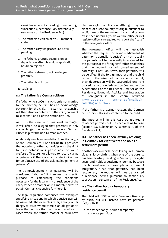<span id="page-35-0"></span>a residence permit according to section 25, subsection 2, sentence 1 or, alternatively, sentence 2 of the Residence Act)

- 5. The father is a citizen of an EU member state
- 6. The father's asylum procedure is still pending
- 7. The father is granted suspension of deportation after his asylum application has been rejected
- 8. The father refuses to acknowledge paternity
- 9. The father is unknown
- 10. Siblings

#### **11.1 The father is a German citizen**

If a father who is a German citizen is not married to the mother, he frst has to acknowledge paternity for the child. The German citizenship will then also be conferred to the child, pursuant to sections 3 and 4 of the Nationality Act.

As it is the case with binational marriages, it will often be alleged that paternity is only acknowledged in order to secure German citizenship for the non-German mother.

A relatively new legal regulation in section 1597a of the German Civil Code (BGB) thus provides that notaries or other authorities with the right to issue notarisations, particularly the youth welfare office, are not allowed to record claims of paternity if there are "concrete indications for an abusive use of the acknowledgement of paternity".

The acknowledgement of paternity will be considered "abusive" if it serves the specifc purpose of establishing the conditions necessary for the legal entry or residence of the child, father or mother or if it merely serves to obtain German citizenship for the child.

The legal regulation comprises fve examples specifying situations in which abusive use will be assumed. The examples refer, among other things, to cases where there is an obligation to leave the country that can be enforced or to cases where the father, mother or child have

fled an asylum application, although they are citizens of a safe country of origin, pursuant to section 29a of the Asylum Act. If such indications exist, then notaries, youth welfare office or civil registry office are required to report the "case" to the foreigners' office.

The foreigners' office will then establish whether the request for acknowledgement of paternity is actually "abusive" or not. Usually the parents will be personally interviewed for this purpose. If the foreigners' office establishes that the request for acknowledgement of paternity is not "abusive", then paternity will be certifed. If the foreign mother and the child do not otherwise hold a residence permit, their deportation will be suspended until the procedure is concluded (section 60a, subsection 2, sentence 1 of the Residence Act; Act on the Residence, Economic Activity and Integration of Foreigners in the Federal Territory: [www.gesetze-im-internet.de/englisch\\_](http://www.gesetze-im-internet.de/englisch_aufenthg/index.html) [aufenthg/index.html](http://www.gesetze-im-internet.de/englisch_aufenthg/index.html)).

If the father is a German citizen, the German citizenship will also be conferred to the child.

The mother will in this case be granted a residence permit until the child attains full age (section 28, subsection 1, sentence 3 of the Residence Act).

#### **11.2 The father has been lawfully residing in Germany for eight years and holds a settlement permit**

Another case in which the child acquires German citizenship by birth is when one of the parents has been lawfully residing in Germany for eight years and holds a settlement permit, because this is considered an example of successful integration. Once that paternity has been recognised, the mother will thus be granted a residence permit pursuant to section 28, subsection 1, sentence 3 of the Residence Act.

#### **11.3 The father holds a temporary residence permit**

The child will NOT acquire German citizenship by birth, but will instead have its parents' nationality if

• the father "only" holds a temporary residence permit or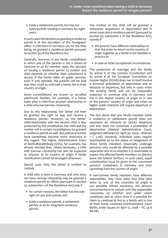• holds a settlement permit, but has not been lawfully residing in Germany for eight years.

In such cases the decision on granting a residence permit is at the discretion of the foreigners' office. A child born in Germany can, for the time being, be granted a residence permit pursuant to section 33 of the Residence Act.

Generally, however, in any family constellation in which one of the parents is not a citizen of Germany or an EU member state, the decision on issuing a residence permit to mother and child depends on whether their subsistence is secure. If the family relies on public services, even if only partially, the parents will be told that they could as well lead a family life in their country of origin.

Some constellations are known as so-called patchwork families, for example, if a father looks after a child from another relationship or a child who has German citizenship.

Due to this relationship, the father will then be granted the right to stay and receive a residence permit. However, as the fatherchild-relationship with the second child is also protected by the constitution, the child and the mother will in certain constellations be granted a residence permit as well. But judicial practices have sometimes become more restrictive in this regard. The Higher Administrative Court of Berlin-Brandenburg (OVG), for example, has already decided that, where necessary, a child with German citizenship can also be expected to relocate to its country of origin if family reunifcation cannot be arranged otherwise.

Special case: Only the father is entitled to custody

A child who is born in Germany and who does not have German citizenship may be granted a residence permit ex officio (pursuant to section 33, subsection 2 of the Residence Act) only if

- for certain reasons, the father has the sole right of care and custody and
- holds a residence permit, a settlement permit, or an EU long-term residence permit.

The mother of the child will be granted a temporary suspension of deportation and in some cases also a residence permit (pursuant to section 25, subsection 5 of the Residence Act), namely if

- the parents have diferent nationalities so that the order to return to the country of origin together as a family is not feasible in practice or
- in case of other exceptional circumstances.

The protection of marriage and the family by article 6 of the German Constitution and by article 8 of the European Convention on Human Rights (ECHR) does not in itself involve a domestic prohibition of deportation and an obstacle to departure, but only in cases when the existing family unit can be reasonably expected to continue only in Germany and not in the shared country of origin or in one of the parents' country of origin and when no higher public interests still require departure or deportation.

The fact alone that one family member holds a residence or settlement permit does not represent an obstacle to (joint) departure and also does not constitute a prohibition of deportation (Federal Administrative Court, judgment delivered on April 30, 2009 – BVerwG 1 C 3.08). However, individual cases require examination as to the status of integration of those family members (especially underage persons) who would be afected by a possible separation and as to whether it is reasonable to expect the affected family members to (jointly) leave the federal territory. In such cases, equal consideration must be given to the concerned persons' rootedness in Germany and their uprooting from the country of origin.

If non-German family members have diferent nationalities, they must state that their joint entry to one of the countries of origin is not possible. Where necessary, the persons concerned have to consult with the responsible consulates on whether and under which conditions and at which time it is possible for them to continue to live as a family unit in one of their home countries (Administrative Court Berlin, order issued on April 17, 2008 – VG 24 A 80.08).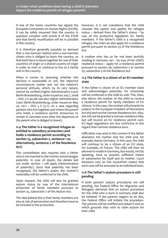<span id="page-37-0"></span>If one of the home countries has signed the European Convention on Human Rights (ECHR), it can be safely assumed that the country in question complies with article 8 of the ECHR and that family reunifcation will be in possible in this country.

It is therefore generally possible to demand that a non-German relative joins a non-German citizen who is obliged to leave the country, so that both have to leave together for one of their countries of origin or a shared country of origin in order to start or continue to live as a family unit in this country.

When it comes to assessing whether this decision is reasonable or not, the objective circumstances matter and not the relative's personal attitude, which, by its very nature, cannot be verifed (Higher Administrative Court Berlin-Brandenburg, order issued on July 7, 2008 – OVG 3 S 44.08; see also Higher Administrative Court Berlin-Brandenburg, order issued on May 20, 2011 – OVG 3 S 37.11, on a case regarding parents who live together and where the parent who holds a residence permit announces to remain in Germany even after the departure of the parent who is obliged to leave).

#### **11.4 The father is a recognised refugee or entitled to subsidiary protection (and holds a residence permit according to section 25, subsection 2, sentence 1 or, alternatively, sentence 2 of the Residence Act)**

This constellation also requires that a father who is not married to the mother acknowledges paternity. In case of doubt, the details laid out under section 1 will apply (determination of paternity). Once that paternity has been recognised, the father's and/or the mother's nationality will be conferred to the child.

Upon request, the child will also be granted asylum status by way of the international protection of family members pursuant to section 25, subsection 2 of the Asylum Act.

The idea behind this is that family members are also at risk of persecution and therefore have to be included in the protection.

However, it is not mandatory that the child chooses this option and applies for refugee status – derived from the father's status – by way of the protective legislation for family members. If the father's child is a recognised refugee, the child can also apply for a residence permit pursuant to section 33 of the Residence Act.

A mother who has so far not been lawfully residing in Germany can – by way of her child's residence status – apply for a residence permit pursuant to section 36, subsection 2 or section 25, subsection 5 of the Residence Act.

#### **11.5 The father is a citizen of an EU member state**

If the father is citizen of an EU member state and acknowledges paternity, his citizenship will be conferred to the child as well. This, then, also allows the mother of the child to receive a residence permit for family members of EU citizens. In this case, the mother will primarily be subject to the European Freedom of Movement Act and and not the German Residence Act. Also, she will not be granted a German residence title, but will receive an EU residence permit card. EU legal regulations are less restrictive in this regard than German residence laws.

Difculties may arise in this context if the father abandons the mother and the child and, for example, leaves Germany. In this case, the child will continue to be a citizen of an EU state, for example, of France. The child will then be allowed to reside in Germany, but would, strictly speaking, have to possess sufficient means of subsistence for itself and its mother. Court decisions vary on this issuewhich means that each case will be assessed on an individual basis.

#### **11.6 The father's asylum procedure is still pending**

If both parents' asylum procedures are still pending, the Federal Office for Migration and Refugees demands that an asylum procedure for the child who is born in Germany shall also be initiated. If the parents neglect to do this, the Federal Office will initiate the procedure. The parents will be notifed and asked if and on which grounds they wish to claim asylum for their child.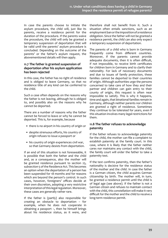<span id="page-38-0"></span>In case the parents choose to initiate the asylum procedure, the child will, just like its parents, receive a residence permit for the duration of the procedure. If the parents waive the procedure, the child will only be granted a temporary suspension of deportation that will be valid until the parents' asylum procedure is concluded. Depending on the outcome of the parents' or the father's asylum request, the abovementioned details will then apply.

#### **11.7 The father is granted suspension of deportation after his asylum application has been rejected**

In this case, the father has no right of residence and is obliged to leave Germany, so that no residence title of any kind can be conferred to the child.

Such a case often depends on the reasons why the father is not leaving, although he is obliged to, and possibly also on the reasons why he cannot be deported.

There are a number of reasons why the father cannot be forced to leave or why he cannot be deported. This is, for example, because

- there is no airport in his country of origin or
- despite strenuous eforts, his country of origin refuses to issue a passport or
- his country of origin experiences civil war, so that Germany desists from deportation.

If an end of this situation is not foreseeable, it is possible that both the father and the child and, as a consequence, also the mother will be granted residence pursuant to section 25, subsection 5 of the Residence Act. This becomes an option when the deportation of a person has been suspended for 18 months and for reasons which are beyond the person's control. In such cases, however, foreigners' offices decide at their own discretion, adopting a very restrictive interpretation of this legal regulation. Moreover, these cases are generally rather rare.

If the father is (partly) also responsible for creating an obstacle to deportation – for example, when he does not cooperate in obtaining a passport –, then he himself brings about his residence status, as it were, and

therefore shall not beneft from it. Such a situation often entails sanctions, such as an employment ban or the imposition of a residence obligation. Since the father will not be granted a residence permit, the child can also only expect a temporary suspension of deportation.

The parents of a child who is born in Germany frequently come from diferent countries. Moreover, if the parents cannot provide adequate documents, then it is often difficult, if not impossible, to receive birth certifcates for children born in Germany and to clarify their nationality. For lack of necessary documents and due to issues of family protection, these families cannot be deported to their countries of origin. Although authorities urge the persons concerned to take care of how they and their partner and children can gain entry to their county of origin, this request is often near impossible to satisfy. This is why it happens, time and again, that binational families remain in Germany, although neither parents nor children are granted a right of residence. Sometimes they continue to be tolerated for years, even if this situation involves many legal restrictions for them.

#### **11.8 The father refuses to acknowledge paternity**

If the father refuses to acknowledge paternity for the child, the mother can fle a complaint to establish paternity at the family court. In this case, where it is likely that the father neither cares nor maintains any contact with the child, the family court will order the father to take a paternity test.

If the test confrms paternity, then the father's nationality is decisive for the residence status of the mother and the child. In case the father is a German citizen, the child acquires German citizenship by birth. The mother will, in turn, be granted a residence permit until the child is of legal age (see above). If the father is not a German citizen and refuses to maintain contact with the child, this constellation will make it very difcult for the mother and the child to receive a long-term residence permit.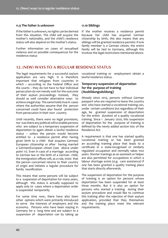#### <span id="page-39-0"></span>**11.9 The father is unknown**

If the father is unknown, no rights can be derived from this situation. The child will acquire the mother's nationality, and the child's residence status will also depend on the mother's status.

Further information on cases of sexualised violence and on possible consequences for the residence status

#### **11.10 Siblings**

If the mother receives a residence permit because her child has acquired German citizenship by birth, this also means that any siblings will be granted residence permits: If one family member is a German citizen, the entire family will be tied to Germany, although this involves the legal restrictions mentioned above.

### **12. (NEW) WAYS TO A REGULAR RESIDENCE STATUS**

The legal requirements for a successful asylum application are very high. It is therefore important that refugees from countries in which  $-$  according to the Federal Office and the courts – they do not have to fear individual persecution do not merely wait for the outcome of their asylum proceedings. Instead, they should as well consider alternative ways to achieve a legal stay. The same holds true in cases where the authorities assume that the person concerned could have also found protection from persecution in their own country.

Until recently, there were no legal provisions, nor was there any political will to enable persons who are subject to a temporary suspension of deportation to again obtain a lawful residence status – unless the person would become entitled to a residence permit after having given birth to a child that acquires German/ European citizenship or after having married a German/European citizen (see above under point 11). Even in case of a marriage according to German law or the birth of a German child, the immigration offices will, as a rule, insist that the person concerned returns to their country of origin and initiates a regular procedure for family reunifcation.

This means that some persons will be subject to a suspension of deportation for many years, although this status is actually supposed to apply only to cases where a deportation order is suspended temporarily.

For some time now, there have also been other options which were primarily introduced to serve the interests of employers and the economy. Persons who have been staying in Germany for a long time and are subject to a suspension of deportation can by taking up vocational training or employment obtain a lawful residence status.

#### **Temporary suspension of deportation for the purpose of training (Ausbildungsduldung)**

Already since 2015, persons without German passport who are required to leave the country and who have started a vocational training can, under certain conditions but regardless of their age, be granted suspension of deportation for the entire duration of a quality vocational training. Since 1 January 2020, this suspension of deportation for the purpose of training is defned by the newly added section 60c of the Residence Act.

A requirement is that one has started quality vocational training or has been granted an according training place that leads to a certifcate in a state-recognised or similarly regulated occupation and normally takes two years. Shorter trainings as an assistant or helper are also permitted for occupations in which a labour shortage exists (e.g. care assistance) if one has been granted a quality training place that starts directly afterwards.

The suspension of deportation for the purpose of training is an option for persons whose deportation has been suspended for at least three months. But it is also an option for persons who started a training during their asylum procedure and would like to continue this training after the rejection of their asylum application, provided that they themselves and the training place meet the relevant requirements.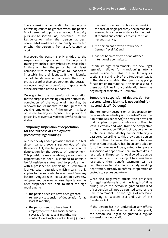The suspension of deportation for the purpose of training cannot be granted when the person is not permitted to pursue an economic activity pursuant to section 60a, sentence 6 of the Residence Act, when the person has been convicted of an ofence intentionally committed or when the person is from a safe country of origin.

Moreover, the person is only entitled to the suspension of deportation for the purpose of training when their identity has been established in time or when the person has at least complied with their obligation to cooperate in establishing their identity. If their identity cannot be determined, although they can provide proof of their cooperation, the decision upon granting the suspension of deportation is at the discretion of the authorities.

Once granted, the suspension of deportation for the purpose of training can, after successful completion of the vocational training, be renewed for six months for the purpose of seeking employment. If the person is kept on in the training enterprise, this provides a possibility to eventually obtain lawful residence status.

#### **Temporary suspension of deportation for the purpose of employment (Beschäftigungsduldung)**

Another newly added provision that is in efect since 1 January 2020 is section 60d of the Residence Act, the temporary suspension of deportation for the purpose of employment. This provision aims at enabling persons whose deportation has been suspended to obtain a lawful residence status and to provide them with a prospect of remaining in Germany. It is a key date regulation, which means it only applies to persons who have entered Germany before 1 August 2018. However, only very few refugees and persons whose deportation has been suspended are able to meet the high requirements:

- the person needs to have been granted temporary suspension of deportation for at least 12 months,
- the person needs to have been in employment with full social security coverage for at least 18 months, with contract working hours of at least 35 hours

per week (or at least 20 hours per week in the case of single parents), the person has ensured his or her subsistence for the past 12 months and continues to ensure his or her subsistence,

- the person has proven proficiency in German (level A2) and
- has not been convicted of an offence intentionally committed.

Despite its high requirements, the new legal regulation allows for transitioning into a lawful residence status in a similar way as sections 25a and 25b of the Residence Act. It is therefore advisable that persons applying for asylum or international protection also take these possibilities into consideration from the beginning of their stay in Germany.

#### **Temporary suspension of deportation for persons whose identity is not verifed (or "second-class" Duldung)**

The "temporary suspension of deportation for persons whose identity is not verifed" (section 60b of the Residence Act)" is a stricter provision that applies to persons who are obliged to leave Germany and who, from the perspective of the Immigration Office, lack cooperation in establishing their identity and/or obtaining a passport. According to this provision, a person who is obliged to leave the country because their asylum procedure has been concluded or for other reasons will be granted a temporary suspension of deportation that involves drastic restrictions. The person is not allowed to pursue an economic activity, is subject to a residence restriction, their beneft payments will be cut, they can be taken into custody awaiting deportation, custody to enforce cooperation or custody to secure departure.

What also negatively affects the prospects for legal residence is that the length of time during which the person is granted this kind of suspension will not be counted towards the time requirements for the rights of residence according to sections 25a and 25b of the Residence Act.

If the person has not undertaken any efforts to cooperate, but does so at a later point, the person shall again be granted a regular suspension of deportation.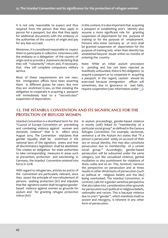<span id="page-41-0"></span>It is not only reasonable to expect and thus required from the person that they apply in person for a passport, but also that they apply for additional documents with the embassy or the authorities of the country of origin and pay for any fees accrued.

Moreover, it is considered reasonable to expect them to participate in collective interviews with the embassy or a delegation of the country of origin and to provide a statement declaring that they will "voluntarily" return and, if necessary, that they will complete compulsory military service.

Most of these requirements are not new, the immigration offices have been asserting them in diferent guises for years. But now they are enshrined in law, so that violating the obligation to cooperate in acquiring a passport will immediately lead to a "second-class" suspension of deportation.

In this context, it is also important that acquiring a passport or establishing one's identity also assume a more signifcant role for granting suspension of deportation for the purpose of training or for the purpose of employment. Persons who enter Germany as of 2020 shall be granted suspension of deportation for the purpose of training only when their identity has established beyond doubt within six months of entering the country.

Note: While an initial asylum procedure is pending and has not been rejected as manifestly unfounded, there is NO obligation to acquire a passport or to cooperate in acquiring a passport. In this regard, caution should be exercised because immigration offices will sometimes, due to ignorance or bad faith, require cooperation (see information under [1.1](#page-10-1)).

# **13. THE ISTANBUL CONVENTION AND ITS SIGNIFICANCE FOR THE PROTECTION OF REFUGEE WOMEN**

Istanbul Convention is a shorthand term for the "Council of Europe Convention on preventing and combating violence against women and domestic violence" that is in efect since August 2014. The Convention stipulates that gender equality shall be enshrined in the national laws of the signatory states and that all discriminatory legislation shall be abolished. This creates an obligation for state authorities to take corresponding measures in areas such as prevention, protection and sanctioning. In Germany, the Istanbul Convention entered into force in 2018.

With regard to refugee law, articles 60 and 61 of the Convention are particularly relevant, since they assert the principle of non-refoulement of persons seeking protection (61) and stipulate that the signatory states shall recognise genderbased violence against women as grounds for asylum and for granting refugee protection status (60).

In asylum proceedings, gender-based violence is mostly (still) linked to "membership of a particular social group" as defned in the Geneva Refugee Convention. For example, section3b, sentence 4 of the Asylum Act states that "if a person is persecuted solely on account of their sex or sexual identity, this may also constitute persecution due to membership of a certain social group." Accordingly, gender-based persecution will be subsumed under the same category, just like sexualised violence, genital mutilation or also punishment for violations of dress codes and so on. This, however, narrows the perspective on persecution and at times results in other dimensions of persecution (such as political or religious beliefs and the like) being overlooked. The Istanbul Convention, in contrast, calls for a gender-sensitive perspective that also takes into consideration other grounds for persecution such political or religious beliefs, nationality and racism. This is because violence due to one's "gender", which manifests itself as sexism and misogyny, is inherent in any other form of persecution.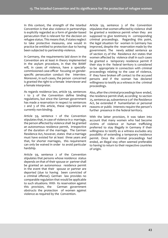In this context, the strength of the Istanbul Convention is that also violence in partnerships is explicitly regarded as a form of gender-based persecution that is relevant for the decision on refugee status. This means that, if states neglect to take protective measures, one would in practice be entitled to protection due to having been subjected to partnership violence.

In Germany, the requirements laid down in the Convention are at least in theory implemented in the asylum procedure, in that the BAMF will, in cases of violence, have a speciallycommissioned case-officer focusing on genderspecifc persecution conduct the interview. Moreover, in such cases, the person concerned is granted the right to a female interviewer and a female interpreter.

As regards residence law, article 59, sentences 1 to 3 of the Convention defne binding regulations, but since the German government has made a reservation in respect to sentences 2 and 3 of this article, these regulations are currently non-binding.

Article 59, sentence 1 of the Convention stipulates that, in case of violence in a marriage, the person afected by violence shall be granted an autonomous residence permit, irrespective of the duration of the marriage. The German Residence Act, however, states that a marriage must have existed for at least three years and that, for shorter marriages, this requirement can only be waived in order to avoid particular hardship.

Article 59, sentence 2 of the Convention stipulates that persons whose residence status depends on that of their spouse or partner shall be granted an autonomous residence permit in the event that their spouse or partner are deported (due to having been convicted of a criminal offense). German law provides no comparable regulation that would be applicable to such situations. With its reservation against this provision, the German government obstructs the protection of women against violence as required by the Convention.

Article 59, sentence 3 of the Convention stipulates that women afected by violence shall be granted a residence permit when they are supposed to give testimony in corresponding criminal proceedings. Regarding this point, the legal situation for women in Germany has improved, despite the reservation made by the government. The newly added sentence 4a of section 25 of the Residence Act states that women afected by violence shall in such cases be granted a temporary residence permit if their stay in the federal territory is considered to be appropriate in connection with criminal proceedings relating to the case of violence, if they have broken off contact to the accused persons and if the woman has declared willingness to testify as a witness in the criminal proceedings.

Also, after the criminal proceedings have ended, the residence permit shall, according to section 25, sentence 4a, subsentence 3 of the Residence Act, be extended if humanitarian or personal reasons or public interests require the person's further presence in the federal territory.

With the latter provision, it was taken into account that many women who had become victims of violence or human trafficking preferred to stay illegally in Germany if their willingness to testify as a witness excludes any possibility of extending a temporary residence permit. Once the criminal proceedings had ended, an illegal stay often seemed preferable to having to return to their respective countries of origin.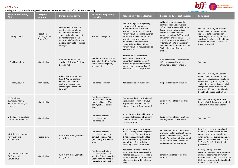| Stage of procedure /<br><b>Status</b>                                        | <b>Assigned</b><br><b>location</b>           | <b>Duration since arrival</b>                                                                                                                                                                                           | <b>Residence obligation /</b><br>restriction                                                                                           | <b>Responsibility for reallocation</b>                                                                                                                                                                                                                                                                                                                                  | <b>Responsibility for cost coverage</b>                                                                                                                                                                                                                                                                                                                                                                   | <b>Legal basis</b>                                                                                                                                                                                                                                                                                         |
|------------------------------------------------------------------------------|----------------------------------------------|-------------------------------------------------------------------------------------------------------------------------------------------------------------------------------------------------------------------------|----------------------------------------------------------------------------------------------------------------------------------------|-------------------------------------------------------------------------------------------------------------------------------------------------------------------------------------------------------------------------------------------------------------------------------------------------------------------------------------------------------------------------|-----------------------------------------------------------------------------------------------------------------------------------------------------------------------------------------------------------------------------------------------------------------------------------------------------------------------------------------------------------------------------------------------------------|------------------------------------------------------------------------------------------------------------------------------------------------------------------------------------------------------------------------------------------------------------------------------------------------------------|
| I. Seeking asylum                                                            | Reception<br>centre (sec. 47,<br>Asylum Act) | Regular stay for up to 18<br>months; extension for up<br>to 24 months based on<br>state law; families may not<br>be held for more than 6<br>months; indefinite for single<br>persons from "safe countries<br>of origin" | Residence obligation                                                                                                                   | Federal Refugee Office (BAMF)<br>is responsible for approval<br>of temporary stay outside of<br>reception centre (sec. 57, sen. 1,<br>Asylum Act). Responsible regional<br>authority can issue release from<br>reception centre and assign<br>municipality where women's<br>shelter is located (sec. 49, sen. 2,<br>Asylum Act). Both requests can be<br>filed at once. | While allocation to reception<br>centre applies: Social welfare<br>office (SWO) at assigned location.<br>Forum necessitatis provision<br>in case of service refusal or<br>processing delays: SWO at location<br>of women's shelter (sec. 11a, sen.<br>2, Asylum Seekers Benefits Act).<br>After allocation to municipality<br>where women's shelter is located:<br>SWO at location of women's<br>shelter. | Sec. 10, sen. 1, Asylum Seekers<br>Benefits Act for accommodation<br>expenses outside jurisdiction<br>according to sec. 3, Asylum Act, and<br>sec. 6, Asylum Seekers Benefits Act<br>for socio-educational assistance<br>(must be justified).                                                              |
| II. Seeking asylum                                                           | Municipality                                 | Until first 18 months of<br>stay (sec. 3, Asylum Seekers<br>Benefits Act)                                                                                                                                               | Residence allocation (until<br>the end of the third month<br>of residence obligation,<br>see under I).                                 | Responsible for reallocation<br>within federal state: state<br>authority in question (sec. 50,<br>Asylum Act); for reallocation to<br>another state: branch office of<br>host state (sec. 51, Asylum Act).                                                                                                                                                              | Until reallocation: Social welfare<br>office at assigned location,<br>otherwise as set out under I.                                                                                                                                                                                                                                                                                                       | See under I.                                                                                                                                                                                                                                                                                               |
| III. Seeking asylum                                                          | Municipality                                 | Following the 19th month<br>(sec. 2, Asylum Seekers<br>Benefits Act, benefits<br>analogous to payments<br>according to Social Code<br>Book XII)                                                                         | Residence allocation                                                                                                                   | Reallocation as set out under II.                                                                                                                                                                                                                                                                                                                                       | Responsibility as set out under II.                                                                                                                                                                                                                                                                                                                                                                       | Sec. 10, sen. 1, Asylum Seekers<br>Benefits Act for accommodation<br>expenses in accordance with Social<br>Code Book XII (sec. 2, Asylum Act);<br>socio-educational assistance only in<br>exceptional cases, at discretion of<br>court (sec. 23, sen. 1, Social Code<br>Book XII). Requires justification. |
| IV. Geduldet mit<br>Zuweisung nach §<br>15a AufenthG (illegal<br>eingereist) | Municipality                                 |                                                                                                                                                                                                                         | Residence allocation<br>for reception centre or<br>municipality (sec. 15a,<br>sen. 4, subs. 4, Residence<br>Act)                       | The state authority, which issued<br>a previous allocation, is always<br>responsible for reallocation (sec.<br>15a, sen. 4 and 5, Residence Act).                                                                                                                                                                                                                       | Social welfare office at assigned<br>location.                                                                                                                                                                                                                                                                                                                                                            | Sec. 10a, sen. 1, Asylum Seekers<br>Benefits Act. Otherwise see under I.<br>After 19th month: see under III.                                                                                                                                                                                               |
| V. Geduldet mit Auflage<br>der Ausländerbehörde                              | Municipality                                 |                                                                                                                                                                                                                         | Residence restriction<br>according to sec. 12,<br>Residence Act.                                                                       | No reallocation, instead it must be<br>requested at location of women's<br>shelter that deportation will be<br>suspended anew.                                                                                                                                                                                                                                          | Social welfare office at location of<br>existing residence restriction.                                                                                                                                                                                                                                                                                                                                   | See under IV.                                                                                                                                                                                                                                                                                              |
| VI. Aufenthaltserlaubnis<br>für Frauen mit<br>Schutzstatus                   | Federal state                                | Within first three years after<br>recognition                                                                                                                                                                           | Residence restriction<br>according to sec. 12a,<br>sen. 1, Residence Act<br>(pertaining to a federal<br>state)                         | Request to suspend restriction<br>for reasons of protection against<br>violence (sec. 12a, sen. 5, subs.<br>2, Residence Act) must be filed<br>only when relocating to another<br>federal state. Responsibility<br>according to state jurisdiction.                                                                                                                     | Employment office at location of<br>women's shelter, as allocation only<br>pertains to federal state, not to<br>locality (according to Higher Social<br>Court NRW; Higher Social Court<br>Berlin-Brandenburg disagrees).                                                                                                                                                                                  | Benefits according to Social Code<br>Book XII (i.a. sec. 67) will only be<br>granted in another federal state<br>when considered appropriate under<br>given circumstances (sec. 23, sen<br>5., Social Code Book XII). Requires<br>justification.                                                           |
| VII. Aufenthaltserlaubnis<br>für Frauen mit<br>Schutzstatus                  | Municipality                                 | Within first three years after<br>recognition                                                                                                                                                                           | Residence restriction<br>according to sec. 12a,<br>sen. 2 or 3, Residence Act<br>(pertaining strictly to a<br>particular municipality) | Request to suspend restriction<br>for reasons of protection against<br>violence (sec. 12a, sen. 5, subs. 2,<br>Residence Act) must also be filed<br>when relocating within a federal<br>state.                                                                                                                                                                          | Employment office at assigned<br>location.                                                                                                                                                                                                                                                                                                                                                                | Coverage of expenses for<br>accommodation or stay in women's<br>shelter is determined only when<br>residence restriction ceases to apply.<br>On benefits according to Social Code<br>Book XII, see under VI.                                                                                               |



| st coverage |  |
|-------------|--|
|-------------|--|

# <span id="page-43-1"></span><span id="page-43-0"></span>**APPENDIX**

# **Funding the stay of female refugees in women's shelters, written by Prof. Dr. jur. Dorothee Frings**